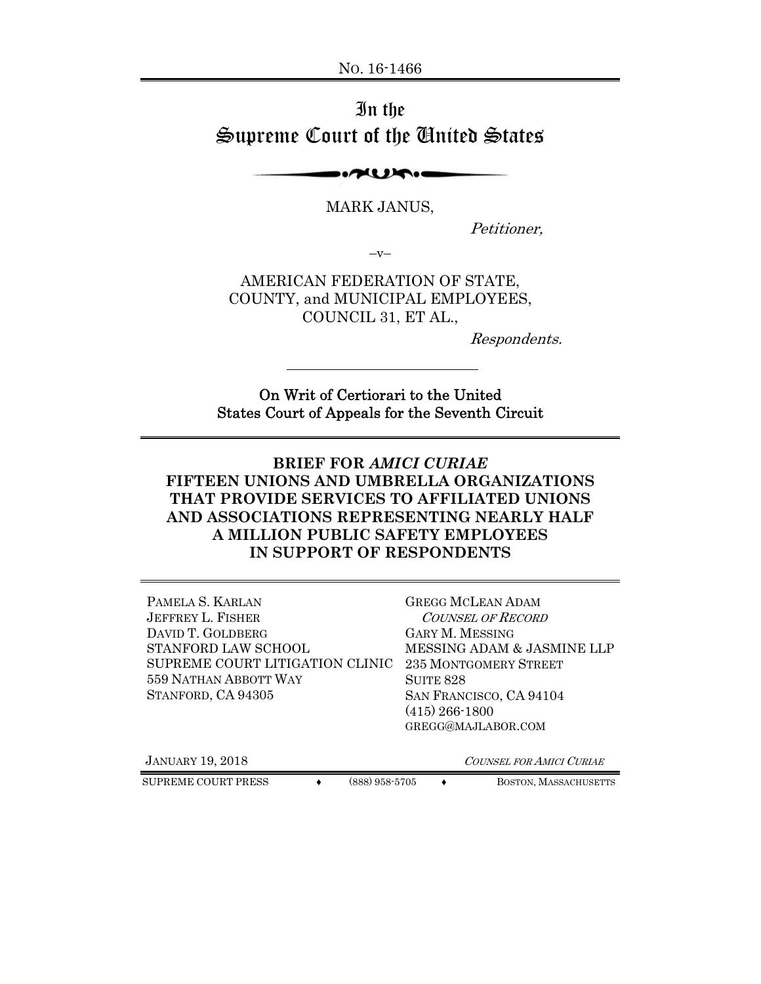# In the Supreme Court of the United States

**INTELLATION** 

MARK JANUS,

Petitioner,

 $-V-$ 

AMERICAN FEDERATION OF STATE, COUNTY, and MUNICIPAL EMPLOYEES, COUNCIL 31, ET AL.,

Respondents.

On Writ of Certiorari to the United States Court of Appeals for the Seventh Circuit

**BRIEF FOR** *AMICI CURIAE* **FIFTEEN UNIONS AND UMBRELLA ORGANIZATIONS THAT PROVIDE SERVICES TO AFFILIATED UNIONS AND ASSOCIATIONS REPRESENTING NEARLY HALF A MILLION PUBLIC SAFETY EMPLOYEES IN SUPPORT OF RESPONDENTS** 

| PAMELA S. KARLAN<br><b>JEFFREY L. FISHER</b><br>DAVID T. GOLDBERG<br>STANFORD LAW SCHOOL<br>SUPREME COURT LITIGATION CLINIC<br>559 NATHAN ABBOTT WAY<br>STANFORD, CA 94305 | <b>GREGG MCLEAN ADAM</b><br><b>COUNSEL OF RECORD</b><br><b>GARY M. MESSING</b><br>MESSING ADAM & JASMINE LLP<br>235 MONTGOMERY STREET<br>SUITE 828<br>SAN FRANCISCO, CA 94104<br>$(415)$ 266-1800<br>GREGG@MAJLABOR.COM |
|----------------------------------------------------------------------------------------------------------------------------------------------------------------------------|-------------------------------------------------------------------------------------------------------------------------------------------------------------------------------------------------------------------------|
| <b>JANUARY 19, 2018</b>                                                                                                                                                    | <b>COUNSEL FOR AMICI CURIAE</b>                                                                                                                                                                                         |
| (888) 958-5705<br>SUPREME COURT PRESS                                                                                                                                      | BOSTON, MASSACHUSETTS                                                                                                                                                                                                   |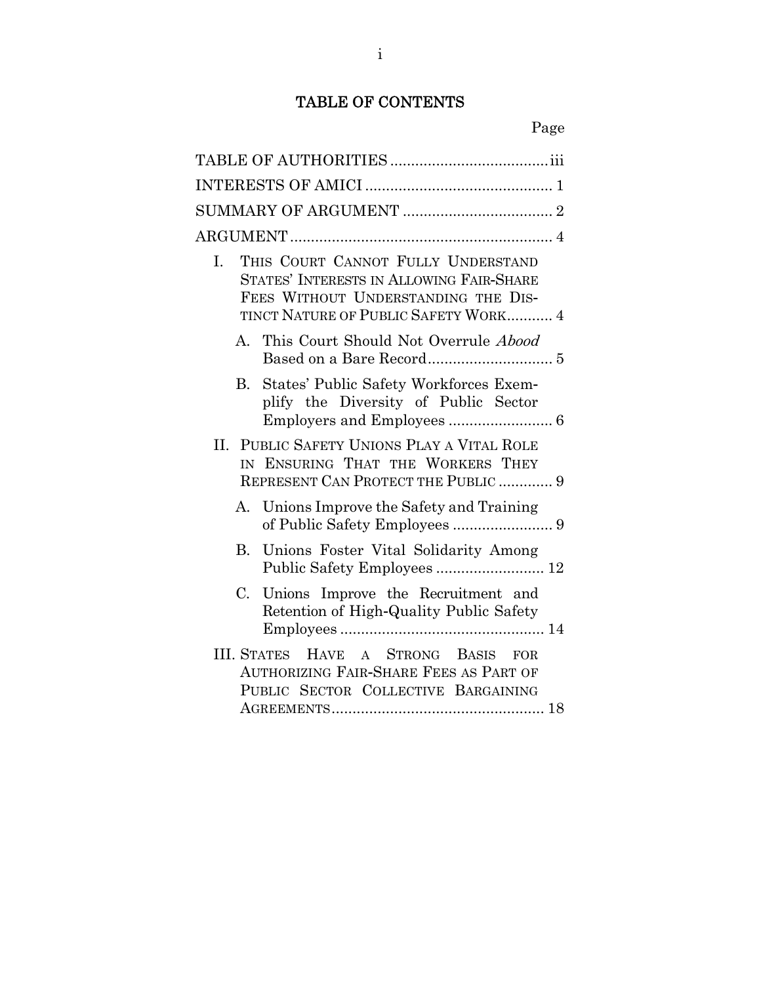# TABLE OF CONTENTS

| THIS COURT CANNOT FULLY UNDERSTAND<br>I.<br>STATES' INTERESTS IN ALLOWING FAIR-SHARE<br>FEES WITHOUT UNDERSTANDING THE DIS-<br>TINCT NATURE OF PUBLIC SAFETY WORK 4 |
|---------------------------------------------------------------------------------------------------------------------------------------------------------------------|
| A. This Court Should Not Overrule Abood                                                                                                                             |
| B. States' Public Safety Workforces Exem-<br>plify the Diversity of Public Sector                                                                                   |
| II. PUBLIC SAFETY UNIONS PLAY A VITAL ROLE<br>IN ENSURING THAT THE WORKERS THEY<br>REPRESENT CAN PROTECT THE PUBLIC  9                                              |
| A. Unions Improve the Safety and Training                                                                                                                           |
| Unions Foster Vital Solidarity Among<br>B.<br>Public Safety Employees  12                                                                                           |
| C. Unions Improve the Recruitment and<br>Retention of High-Quality Public Safety                                                                                    |
| A STRONG BASIS<br><b>III. STATES</b><br><b>HAVE</b><br>FOR.<br>AUTHORIZING FAIR-SHARE FEES AS PART OF<br>PUBLIC SECTOR COLLECTIVE BARGAINING                        |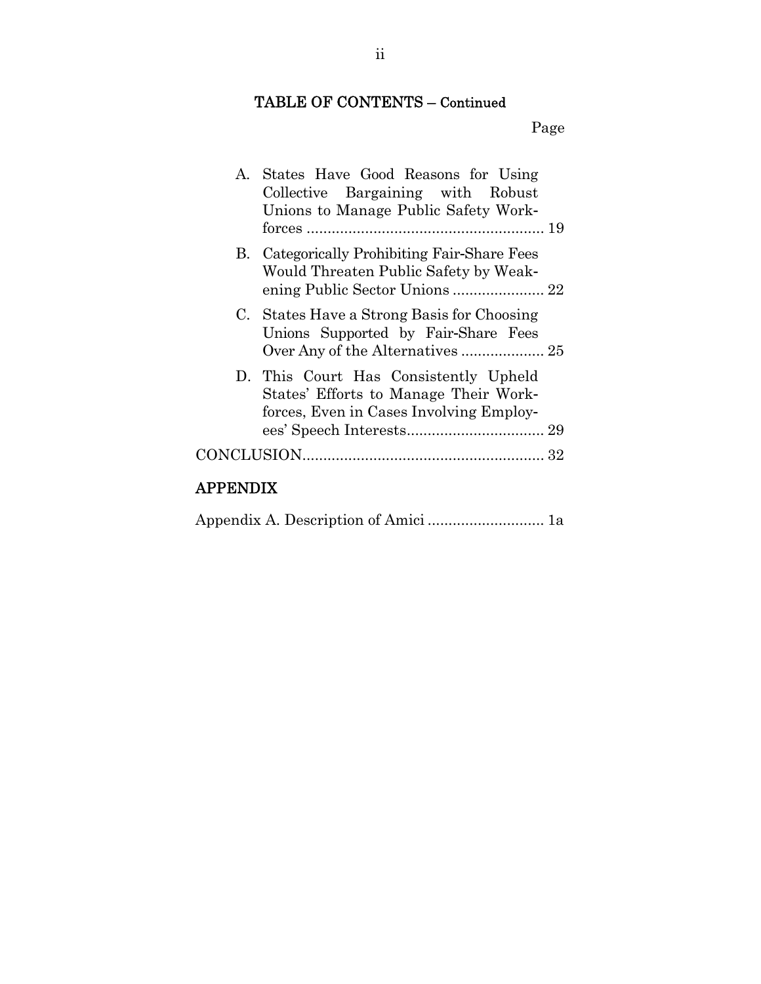# TABLE OF CONTENTS – Continued

# Page

|          | A. States Have Good Reasons for Using<br>Collective Bargaining with Robust<br>Unions to Manage Public Safety Work-        |  |
|----------|---------------------------------------------------------------------------------------------------------------------------|--|
|          | B. Categorically Prohibiting Fair-Share Fees<br>Would Threaten Public Safety by Weak-<br>ening Public Sector Unions  22   |  |
|          | C. States Have a Strong Basis for Choosing<br>Unions Supported by Fair-Share Fees                                         |  |
|          | D. This Court Has Consistently Upheld<br>States' Efforts to Manage Their Work-<br>forces, Even in Cases Involving Employ- |  |
|          |                                                                                                                           |  |
| APPENDIX |                                                                                                                           |  |

# Appendix A. Description of Amici ............................ 1a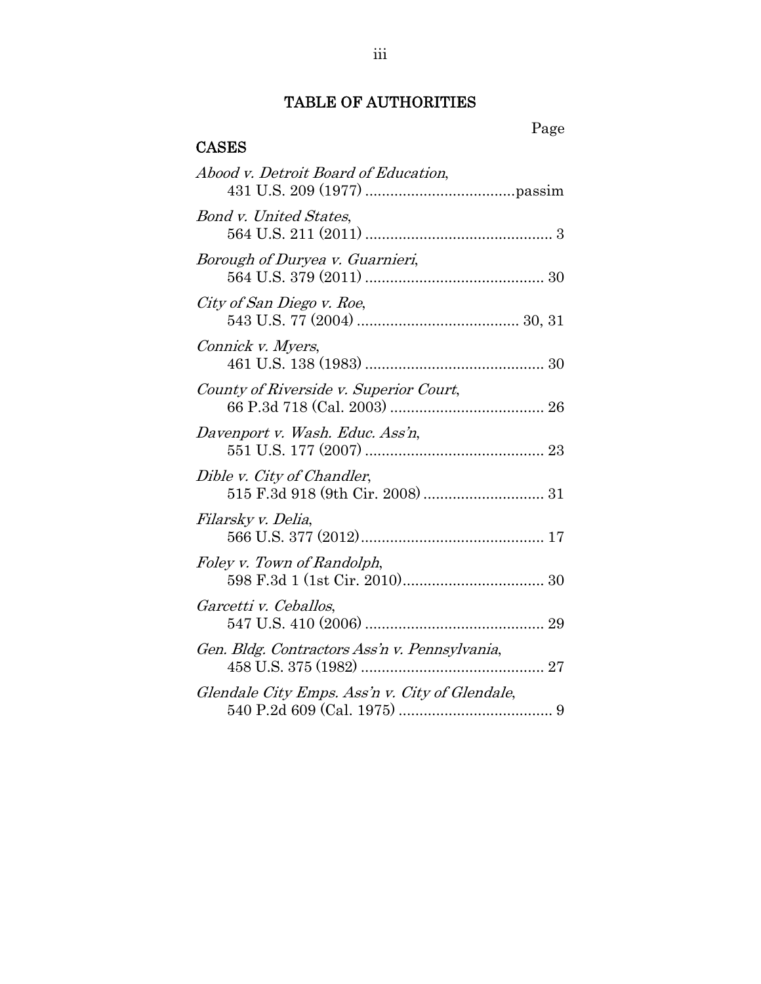# TABLE OF AUTHORITIES

# CASES

| Abood v. Detroit Board of Education,           |
|------------------------------------------------|
| <b>Bond v. United States,</b>                  |
| Borough of Duryea v. Guarnieri,                |
| City of San Diego v. Roe,                      |
| Connick v. Myers,                              |
| County of Riverside v. Superior Court,         |
| Davenport v. Wash. Educ. Ass'n,                |
| Dible v. City of Chandler,                     |
| Filarsky v. Delia,                             |
| Foley v. Town of Randolph,                     |
| Garcetti v. Ceballos,                          |
| Gen. Bldg. Contractors Ass'n v. Pennsylvania,  |
| Glendale City Emps. Ass'n v. City of Glendale, |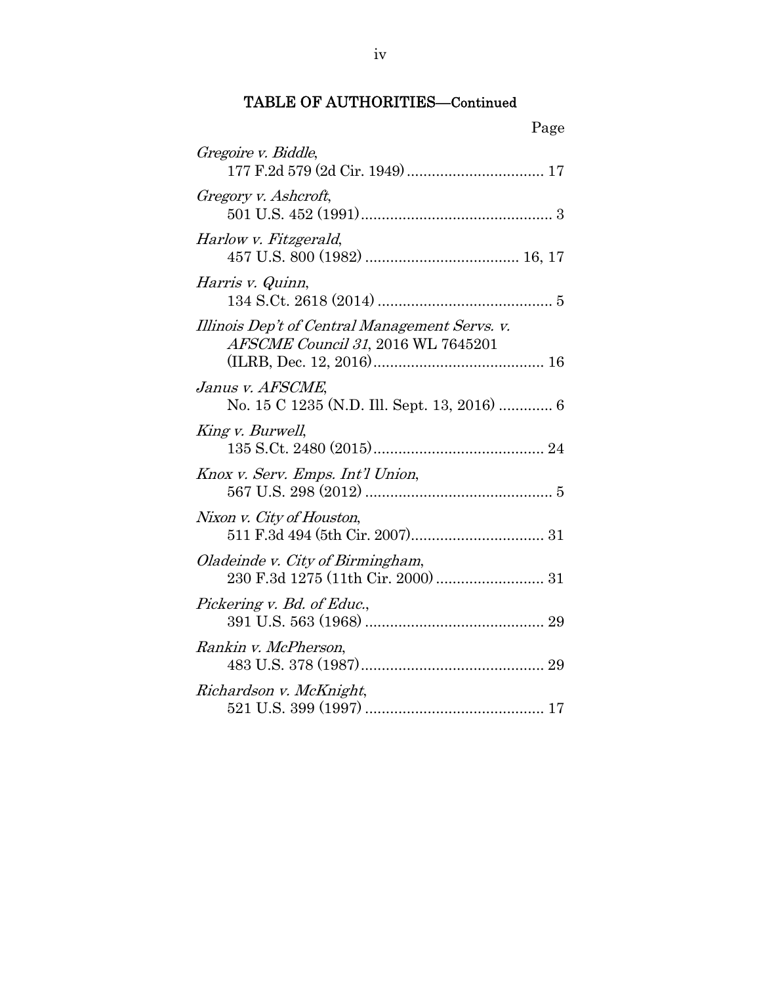| Page                                                                                 |
|--------------------------------------------------------------------------------------|
| Gregoire v. Biddle,                                                                  |
| Gregory v. Ashcroft,                                                                 |
| Harlow v. Fitzgerald,                                                                |
| Harris v. Quinn,                                                                     |
| Illinois Dep't of Central Management Servs. v.<br>AFSCME Council 31, 2016 WL 7645201 |
| Janus v. AFSCME,<br>No. 15 C 1235 (N.D. Ill. Sept. 13, 2016)  6                      |
| King v. Burwell,                                                                     |
| Knox v. Serv. Emps. Int'l Union,                                                     |
| Nixon v. City of Houston,                                                            |
| Oladeinde v. City of Birmingham,                                                     |
| Pickering v. Bd. of Educ.,                                                           |
| Rankin v. McPherson,                                                                 |
| Richardson v. McKnight,                                                              |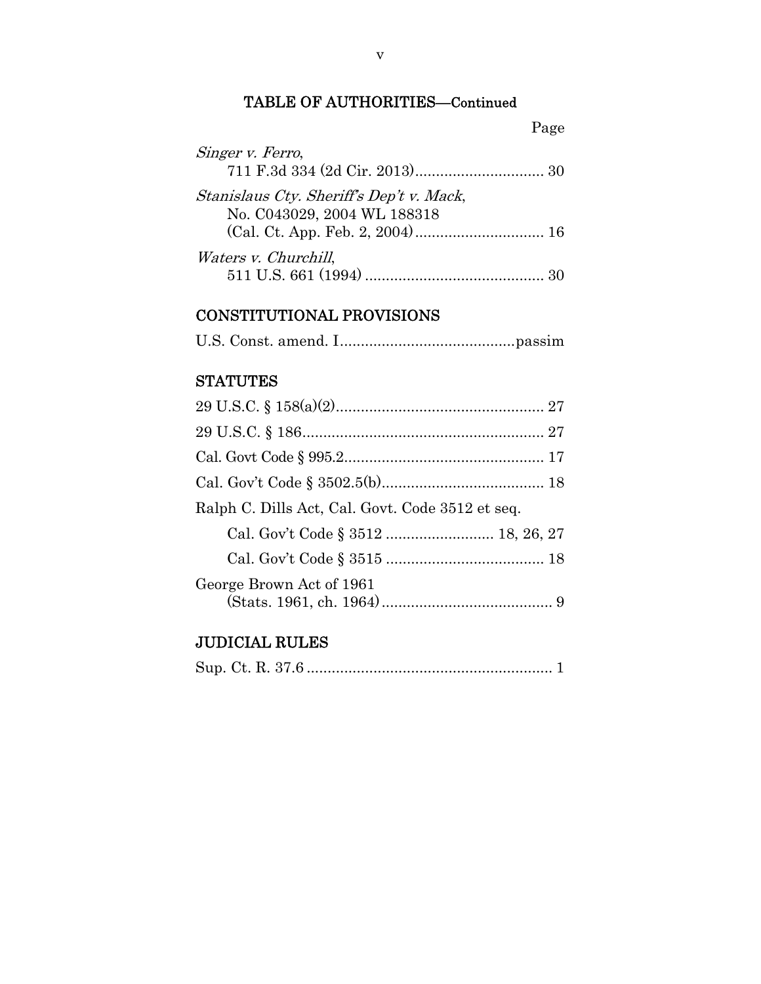| Singer v. Ferro,                         |  |
|------------------------------------------|--|
| Stanislaus Cty. Sheriff's Dep't v. Mack, |  |
| No. C043029, 2004 WL 188318              |  |
| <i>Waters v. Churchill,</i>              |  |
|                                          |  |

# CONSTITUTIONAL PROVISIONS

|--|--|--|--|--|

# **STATUTES**

| Ralph C. Dills Act, Cal. Govt. Code 3512 et seq. |
|--------------------------------------------------|
| Cal. Gov't Code § 3512  18, 26, 27               |
|                                                  |
| George Brown Act of 1961                         |

# JUDICIAL RULES

|--|--|--|--|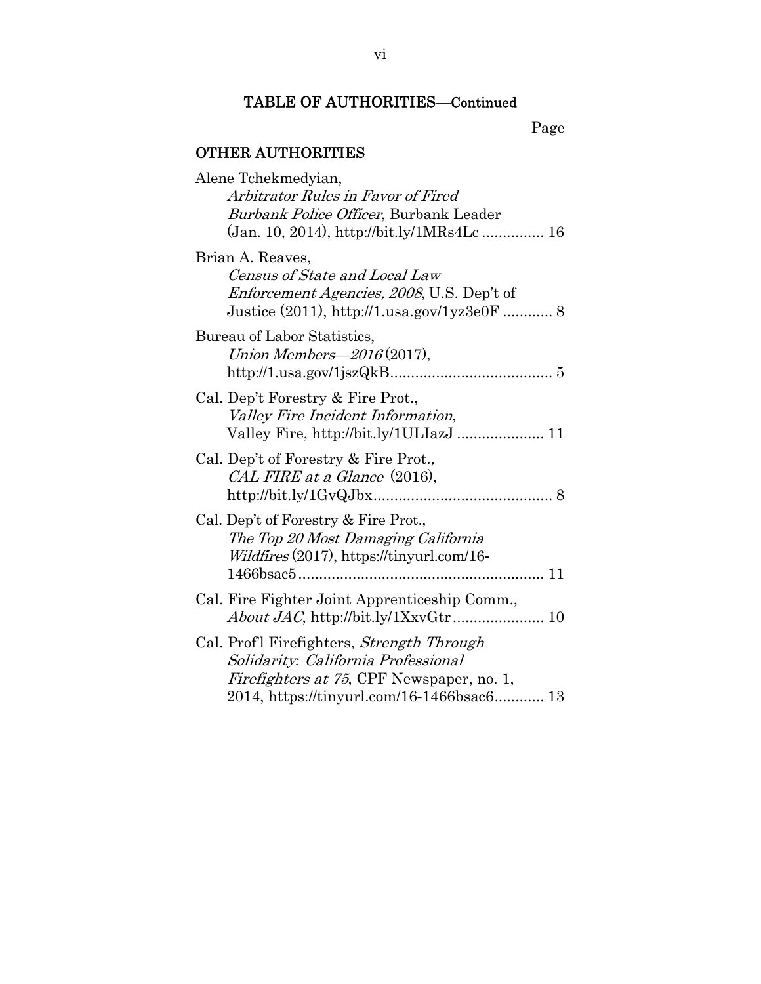# OTHER AUTHORITIES

| Alene Tchekmedyian,                                                                                                                                                                 |
|-------------------------------------------------------------------------------------------------------------------------------------------------------------------------------------|
| Arbitrator Rules in Favor of Fired                                                                                                                                                  |
| Burbank Police Officer, Burbank Leader                                                                                                                                              |
|                                                                                                                                                                                     |
| Brian A. Reaves,<br>Census of State and Local Law                                                                                                                                   |
| <i>Enforcement Agencies, 2008,</i> U.S. Dep't of<br>Justice (2011), http://1.usa.gov/1yz3e0F  8                                                                                     |
|                                                                                                                                                                                     |
| Bureau of Labor Statistics,<br>Union Members- $2016(2017)$ ,                                                                                                                        |
| Cal. Dep't Forestry & Fire Prot.,<br>Valley Fire Incident Information,                                                                                                              |
| Cal. Dep't of Forestry & Fire Prot.,<br>CAL FIRE at a Glance (2016),                                                                                                                |
| Cal. Dep't of Forestry & Fire Prot.,<br>The Top 20 Most Damaging California<br><i>Wildfires</i> (2017), https://tinyurl.com/16-                                                     |
|                                                                                                                                                                                     |
| Cal. Fire Fighter Joint Apprenticeship Comm.,                                                                                                                                       |
| Cal. Prof'l Firefighters, Strength Through<br>Solidarity: California Professional<br><i>Firefighters at 75</i> , CPF Newspaper, no. 1,<br>2014, https://tinyurl.com/16-1466bsac6 13 |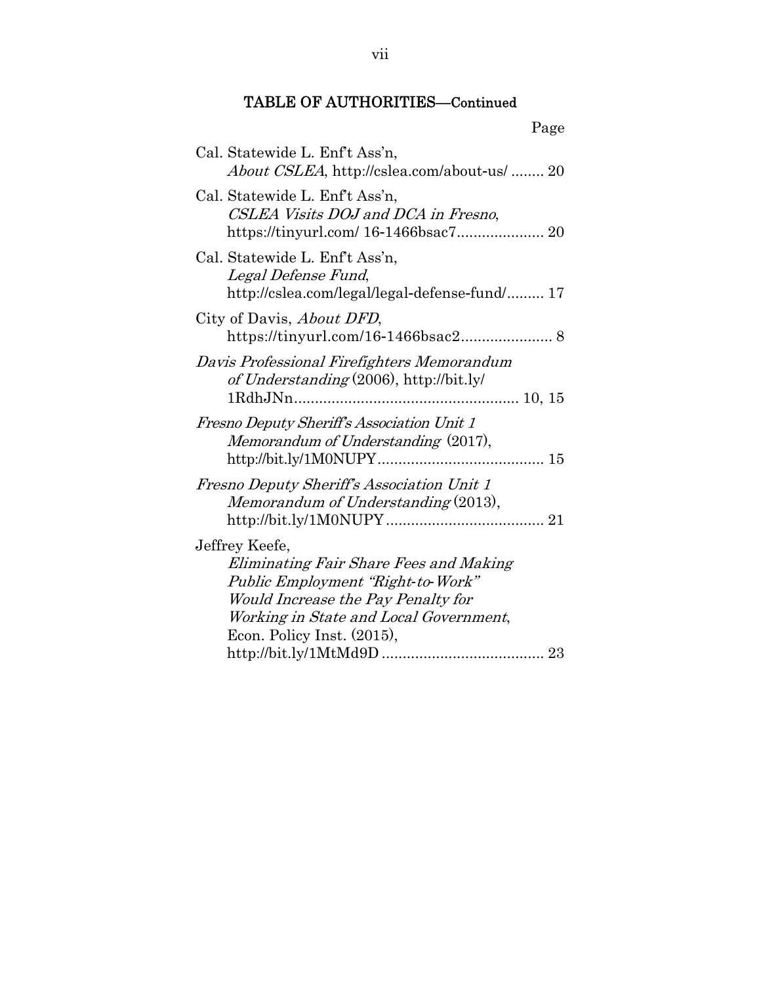| Cal. Statewide L. Enf't Ass'n,<br><i>About CSLEA</i> , http://cslea.com/about-us/  20                                                                                                                       |  |
|-------------------------------------------------------------------------------------------------------------------------------------------------------------------------------------------------------------|--|
| Cal. Statewide L. Enf't Ass'n,<br>CSLEA Visits DOJ and DCA in Fresno,                                                                                                                                       |  |
| Cal. Statewide L. Enf't Ass'n,<br>Legal Defense Fund,<br>http://cslea.com/legal/legal-defense-fund/ 17                                                                                                      |  |
| City of Davis, <i>About DFD</i> ,                                                                                                                                                                           |  |
| Davis Professional Firefighters Memorandum<br>of Understanding (2006), http://bit.ly/                                                                                                                       |  |
| Fresno Deputy Sheriff's Association Unit 1<br>Memorandum of Understanding (2017),                                                                                                                           |  |
| Fresno Deputy Sheriff's Association Unit 1<br>Memorandum of Understanding (2013),                                                                                                                           |  |
| Jeffrey Keefe,<br>Eliminating Fair Share Fees and Making<br>Public Employment "Right-to-Work"<br>Would Increase the Pay Penalty for<br>Working in State and Local Government,<br>Econ. Policy Inst. (2015), |  |
|                                                                                                                                                                                                             |  |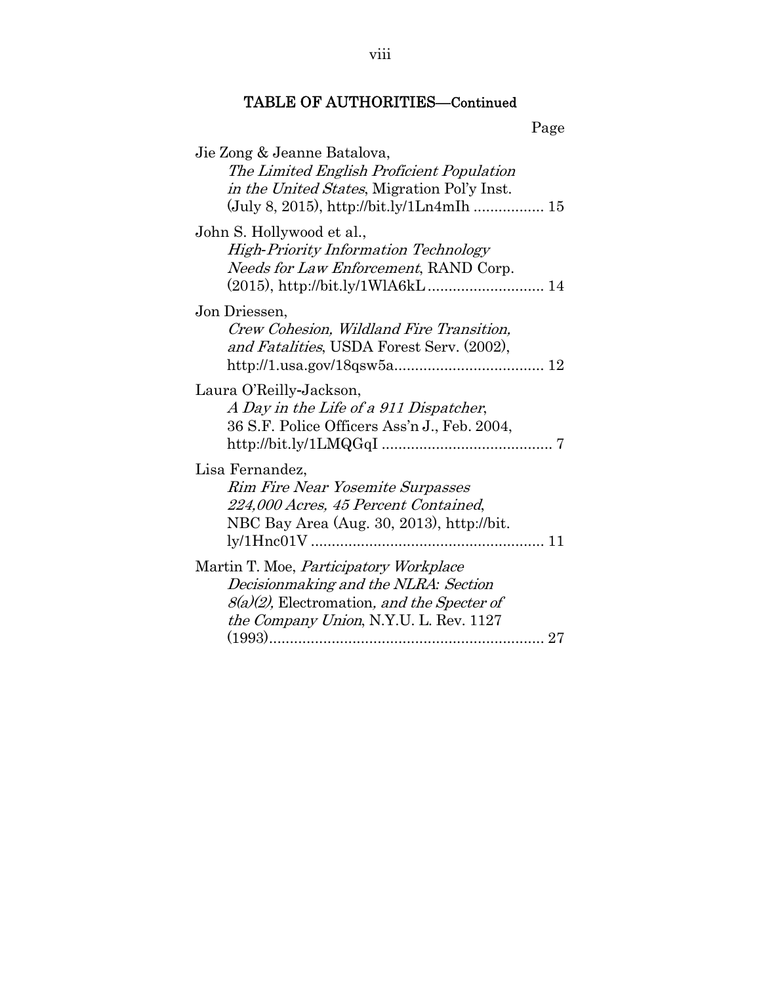| Jie Zong & Jeanne Batalova,<br>The Limited English Proficient Population                         |
|--------------------------------------------------------------------------------------------------|
| <i>in the United States</i> , Migration Pol'y Inst.<br>(July 8, 2015), http://bit.ly/1Ln4mIh  15 |
| John S. Hollywood et al.,                                                                        |
| <b>High-Priority Information Technology</b><br>Needs for Law Enforcement, RAND Corp.             |
|                                                                                                  |
| Jon Driessen,                                                                                    |
| Crew Cohesion, Wildland Fire Transition,<br>and Fatalities, USDA Forest Serv. (2002),            |
| Laura O'Reilly-Jackson,                                                                          |
| A Day in the Life of a 911 Dispatcher,<br>36 S.F. Police Officers Ass'n J., Feb. 2004,           |
| Lisa Fernandez,                                                                                  |
| Rim Fire Near Yosemite Surpasses<br>224,000 Acres, 45 Percent Contained,                         |
| NBC Bay Area (Aug. 30, 2013), http://bit.                                                        |
| Martin T. Moe, <i>Participatory Workplace</i>                                                    |
| Decisionmaking and the NLRA: Section                                                             |
| 8(a)(2), Electromation, and the Specter of<br>the Company Union, N.Y.U. L. Rev. 1127             |
|                                                                                                  |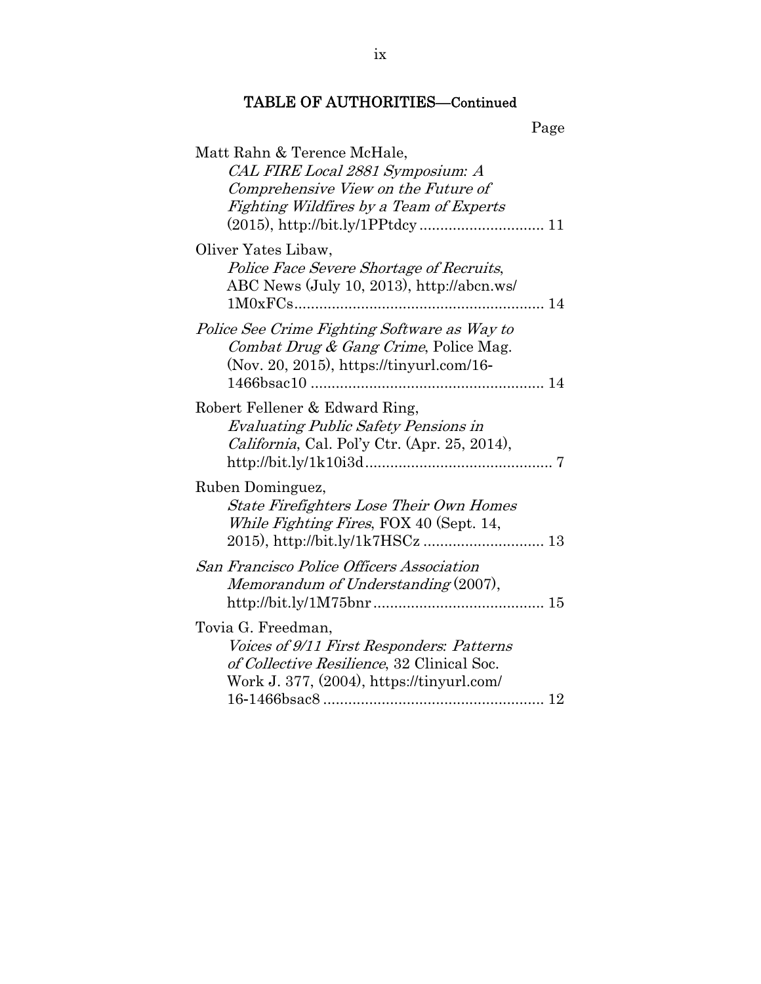| Matt Rahn & Terence McHale,                      |
|--------------------------------------------------|
| CAL FIRE Local 2881 Symposium: A                 |
| Comprehensive View on the Future of              |
| Fighting Wildfires by a Team of Experts          |
|                                                  |
| Oliver Yates Libaw,                              |
| Police Face Severe Shortage of Recruits,         |
| ABC News (July 10, 2013), http://abcn.ws/        |
|                                                  |
| Police See Crime Fighting Software as Way to     |
| Combat Drug & Gang Crime, Police Mag.            |
| (Nov. 20, 2015), https://tinyurl.com/16-         |
|                                                  |
| Robert Fellener & Edward Ring,                   |
| <b>Evaluating Public Safety Pensions in</b>      |
| California, Cal. Pol'y Ctr. (Apr. 25, 2014),     |
|                                                  |
| Ruben Dominguez,                                 |
| <b>State Firefighters Lose Their Own Homes</b>   |
| While Fighting Fires, FOX 40 (Sept. 14,          |
|                                                  |
| <i>San Francisco Police Officers Association</i> |
| Memorandum of Understanding (2007),              |
|                                                  |
| Tovia G. Freedman,                               |
| Voices of 9/11 First Responders: Patterns        |
| of Collective Resilience, 32 Clinical Soc.       |
| Work J. 377, (2004), https://tinyurl.com/        |
|                                                  |
|                                                  |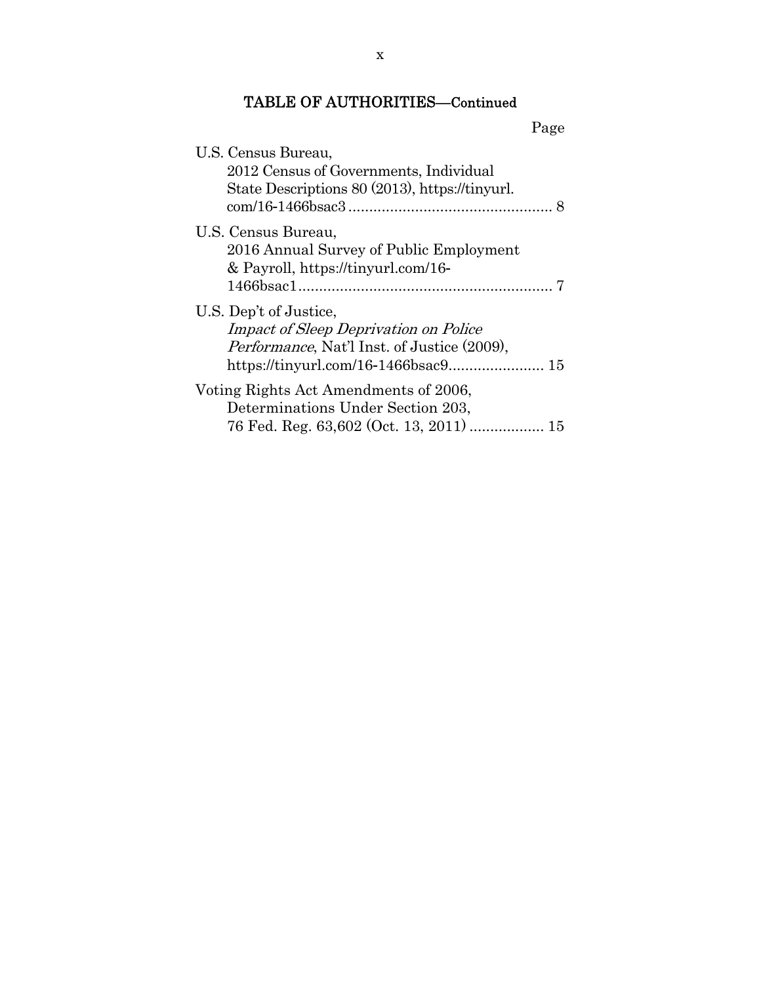Page

| U.S. Census Bureau,                                                                                                           |  |
|-------------------------------------------------------------------------------------------------------------------------------|--|
| 2012 Census of Governments, Individual                                                                                        |  |
| State Descriptions 80 (2013), https://tinyurl.                                                                                |  |
| U.S. Census Bureau,<br>2016 Annual Survey of Public Employment<br>& Payroll, https://tinyurl.com/16-                          |  |
| U.S. Dep't of Justice,<br><i>Impact of Sleep Deprivation on Police</i><br><i>Performance</i> , Nat'l Inst. of Justice (2009), |  |
| Voting Rights Act Amendments of 2006,<br>Determinations Under Section 203,                                                    |  |
| 76 Fed. Reg. 63,602 (Oct. 13, 2011)  15                                                                                       |  |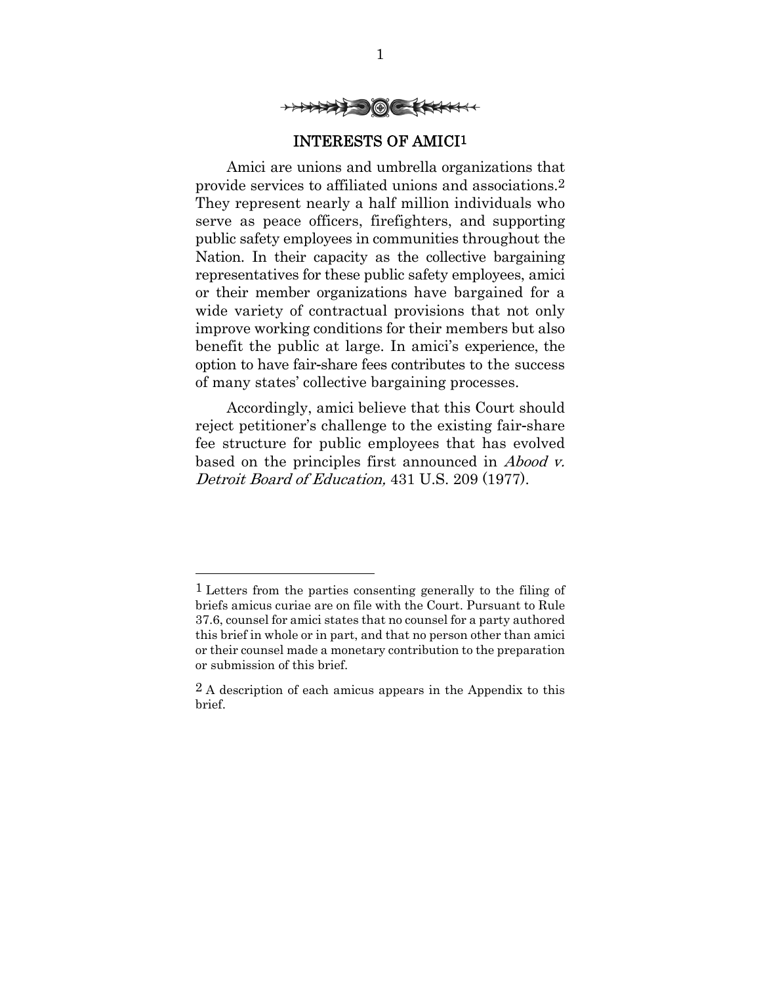

### INTERESTS OF AMICI1

Amici are unions and umbrella organizations that provide services to affiliated unions and associations.2 They represent nearly a half million individuals who serve as peace officers, firefighters, and supporting public safety employees in communities throughout the Nation. In their capacity as the collective bargaining representatives for these public safety employees, amici or their member organizations have bargained for a wide variety of contractual provisions that not only improve working conditions for their members but also benefit the public at large. In amici's experience, the option to have fair-share fees contributes to the success of many states' collective bargaining processes.

Accordingly, amici believe that this Court should reject petitioner's challenge to the existing fair-share fee structure for public employees that has evolved based on the principles first announced in Abood v. Detroit Board of Education, 431 U.S. 209 (1977).

1

<sup>1</sup> Letters from the parties consenting generally to the filing of briefs amicus curiae are on file with the Court. Pursuant to Rule 37.6, counsel for amici states that no counsel for a party authored this brief in whole or in part, and that no person other than amici or their counsel made a monetary contribution to the preparation or submission of this brief.

<sup>2</sup> A description of each amicus appears in the Appendix to this brief.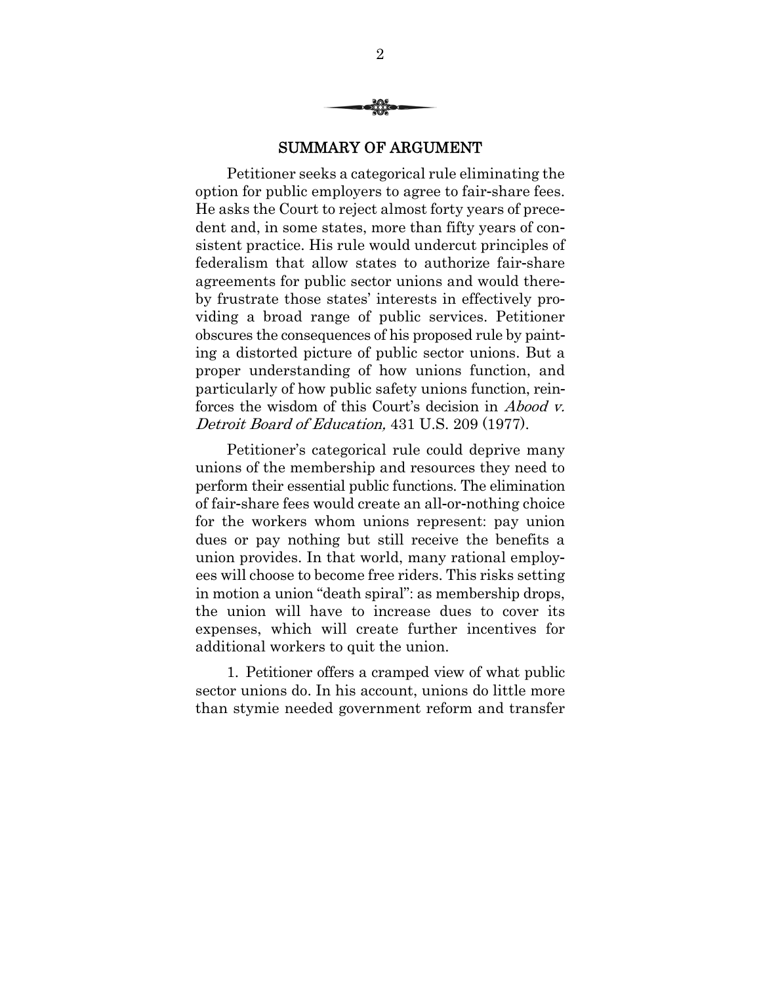

#### SUMMARY OF ARGUMENT

Petitioner seeks a categorical rule eliminating the option for public employers to agree to fair-share fees. He asks the Court to reject almost forty years of precedent and, in some states, more than fifty years of consistent practice. His rule would undercut principles of federalism that allow states to authorize fair-share agreements for public sector unions and would thereby frustrate those states' interests in effectively providing a broad range of public services. Petitioner obscures the consequences of his proposed rule by painting a distorted picture of public sector unions. But a proper understanding of how unions function, and particularly of how public safety unions function, reinforces the wisdom of this Court's decision in Abood v. Detroit Board of Education, 431 U.S. 209 (1977).

Petitioner's categorical rule could deprive many unions of the membership and resources they need to perform their essential public functions. The elimination of fair-share fees would create an all-or-nothing choice for the workers whom unions represent: pay union dues or pay nothing but still receive the benefits a union provides. In that world, many rational employees will choose to become free riders. This risks setting in motion a union "death spiral": as membership drops, the union will have to increase dues to cover its expenses, which will create further incentives for additional workers to quit the union.

1. Petitioner offers a cramped view of what public sector unions do. In his account, unions do little more than stymie needed government reform and transfer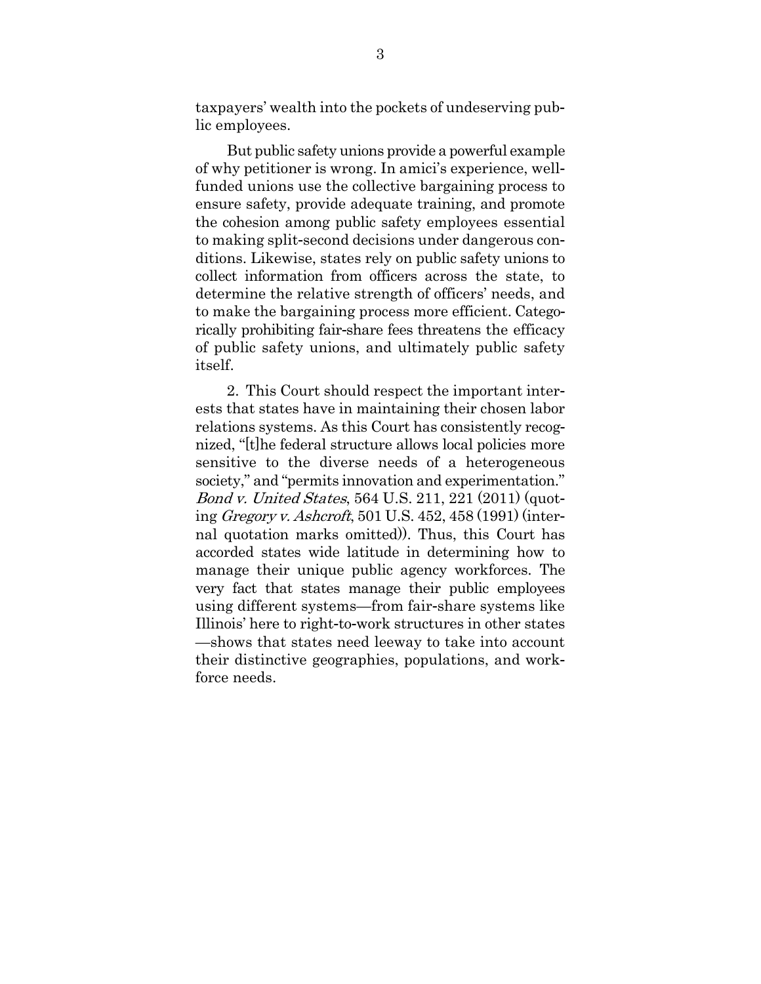taxpayers' wealth into the pockets of undeserving public employees.

But public safety unions provide a powerful example of why petitioner is wrong. In amici's experience, wellfunded unions use the collective bargaining process to ensure safety, provide adequate training, and promote the cohesion among public safety employees essential to making split-second decisions under dangerous conditions. Likewise, states rely on public safety unions to collect information from officers across the state, to determine the relative strength of officers' needs, and to make the bargaining process more efficient. Categorically prohibiting fair-share fees threatens the efficacy of public safety unions, and ultimately public safety itself.

2. This Court should respect the important interests that states have in maintaining their chosen labor relations systems. As this Court has consistently recognized, "[t]he federal structure allows local policies more sensitive to the diverse needs of a heterogeneous society," and "permits innovation and experimentation." Bond v. United States, 564 U.S. 211, 221 (2011) (quoting Gregory v. Ashcroft, 501 U.S. 452, 458 (1991) (internal quotation marks omitted)). Thus, this Court has accorded states wide latitude in determining how to manage their unique public agency workforces. The very fact that states manage their public employees using different systems—from fair-share systems like Illinois' here to right-to-work structures in other states —shows that states need leeway to take into account their distinctive geographies, populations, and workforce needs.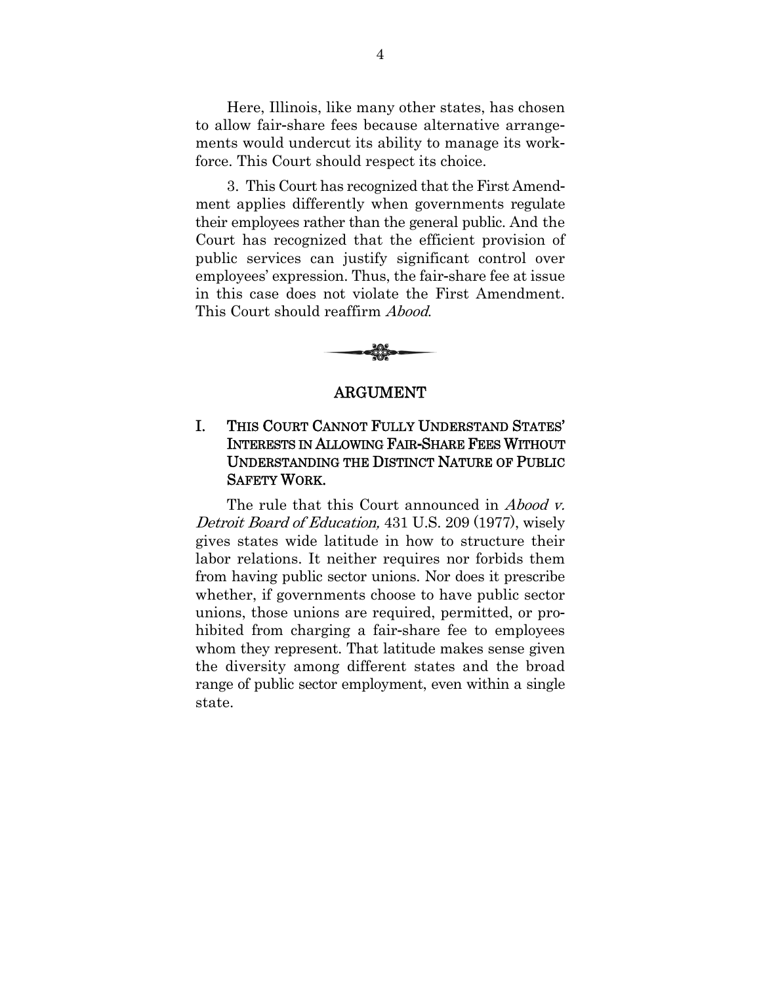Here, Illinois, like many other states, has chosen to allow fair-share fees because alternative arrangements would undercut its ability to manage its workforce. This Court should respect its choice.

3. This Court has recognized that the First Amendment applies differently when governments regulate their employees rather than the general public. And the Court has recognized that the efficient provision of public services can justify significant control over employees' expression. Thus, the fair-share fee at issue in this case does not violate the First Amendment. This Court should reaffirm Abood.



#### ARGUMENT

# I. THIS COURT CANNOT FULLY UNDERSTAND STATES' INTERESTS IN ALLOWING FAIR**-**SHARE FEES WITHOUT UNDERSTANDING THE DISTINCT NATURE OF PUBLIC SAFETY WORK.

The rule that this Court announced in *Abood v*. Detroit Board of Education, 431 U.S. 209 (1977), wisely gives states wide latitude in how to structure their labor relations. It neither requires nor forbids them from having public sector unions. Nor does it prescribe whether, if governments choose to have public sector unions, those unions are required, permitted, or prohibited from charging a fair-share fee to employees whom they represent. That latitude makes sense given the diversity among different states and the broad range of public sector employment, even within a single state.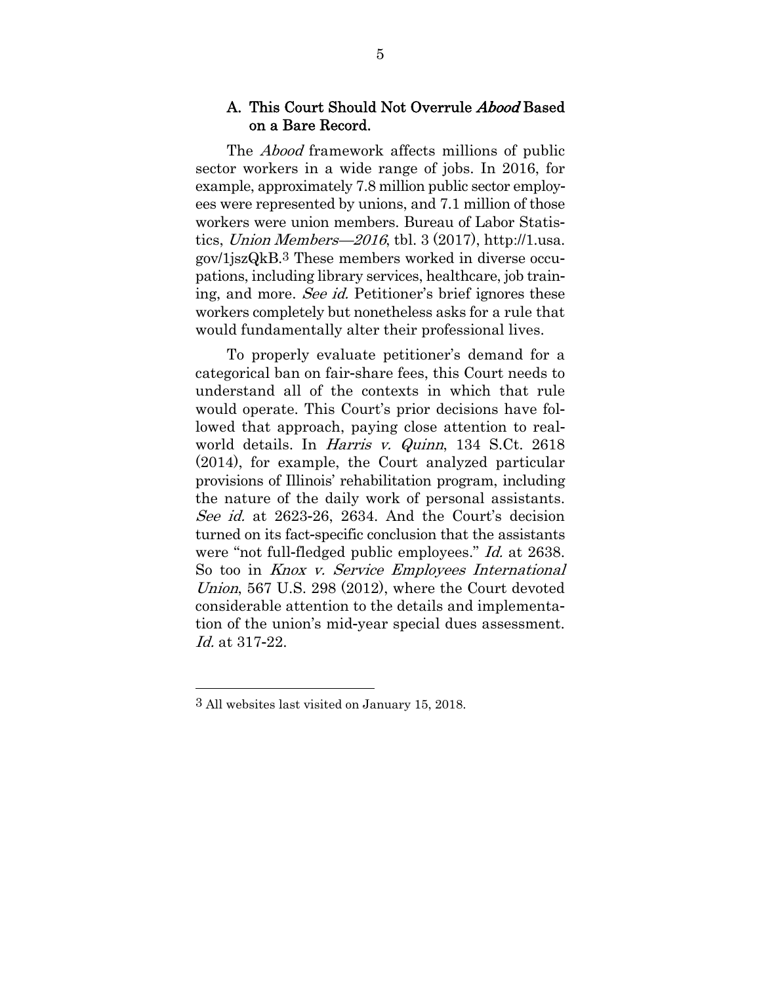### A. This Court Should Not Overrule Abood Based on a Bare Record.

The Abood framework affects millions of public sector workers in a wide range of jobs. In 2016, for example, approximately 7.8 million public sector employees were represented by unions, and 7.1 million of those workers were union members. Bureau of Labor Statistics, Union Members—2016, tbl. 3 (2017), http://1.usa. gov/1jszQkB.3 These members worked in diverse occupations, including library services, healthcare, job training, and more. See id. Petitioner's brief ignores these workers completely but nonetheless asks for a rule that would fundamentally alter their professional lives.

To properly evaluate petitioner's demand for a categorical ban on fair-share fees, this Court needs to understand all of the contexts in which that rule would operate. This Court's prior decisions have followed that approach, paying close attention to realworld details. In Harris v. Quinn, 134 S.Ct. 2618 (2014), for example, the Court analyzed particular provisions of Illinois' rehabilitation program, including the nature of the daily work of personal assistants. See id. at 2623-26, 2634. And the Court's decision turned on its fact-specific conclusion that the assistants were "not full-fledged public employees." Id. at 2638. So too in *Knox v. Service Employees International* Union, 567 U.S. 298 (2012), where the Court devoted considerable attention to the details and implementation of the union's mid-year special dues assessment. Id. at 317-22.

-

<sup>3</sup> All websites last visited on January 15, 2018.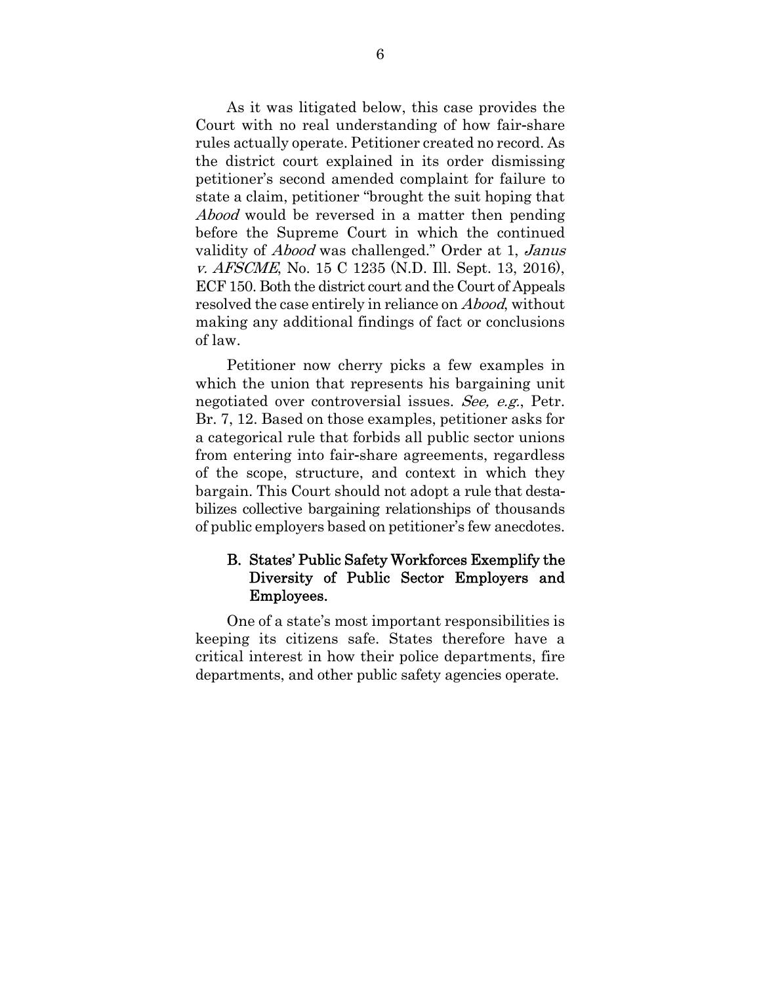As it was litigated below, this case provides the Court with no real understanding of how fair-share rules actually operate. Petitioner created no record. As the district court explained in its order dismissing petitioner's second amended complaint for failure to state a claim, petitioner "brought the suit hoping that Abood would be reversed in a matter then pending before the Supreme Court in which the continued validity of Abood was challenged." Order at 1, Janus v. AFSCME, No. 15 C 1235 (N.D. Ill. Sept. 13, 2016), ECF 150. Both the district court and the Court of Appeals resolved the case entirely in reliance on Abood, without making any additional findings of fact or conclusions of law.

Petitioner now cherry picks a few examples in which the union that represents his bargaining unit negotiated over controversial issues. See, e.g., Petr. Br. 7, 12. Based on those examples, petitioner asks for a categorical rule that forbids all public sector unions from entering into fair-share agreements, regardless of the scope, structure, and context in which they bargain. This Court should not adopt a rule that destabilizes collective bargaining relationships of thousands of public employers based on petitioner's few anecdotes.

### B. States' Public Safety Workforces Exemplify the Diversity of Public Sector Employers and Employees.

One of a state's most important responsibilities is keeping its citizens safe. States therefore have a critical interest in how their police departments, fire departments, and other public safety agencies operate.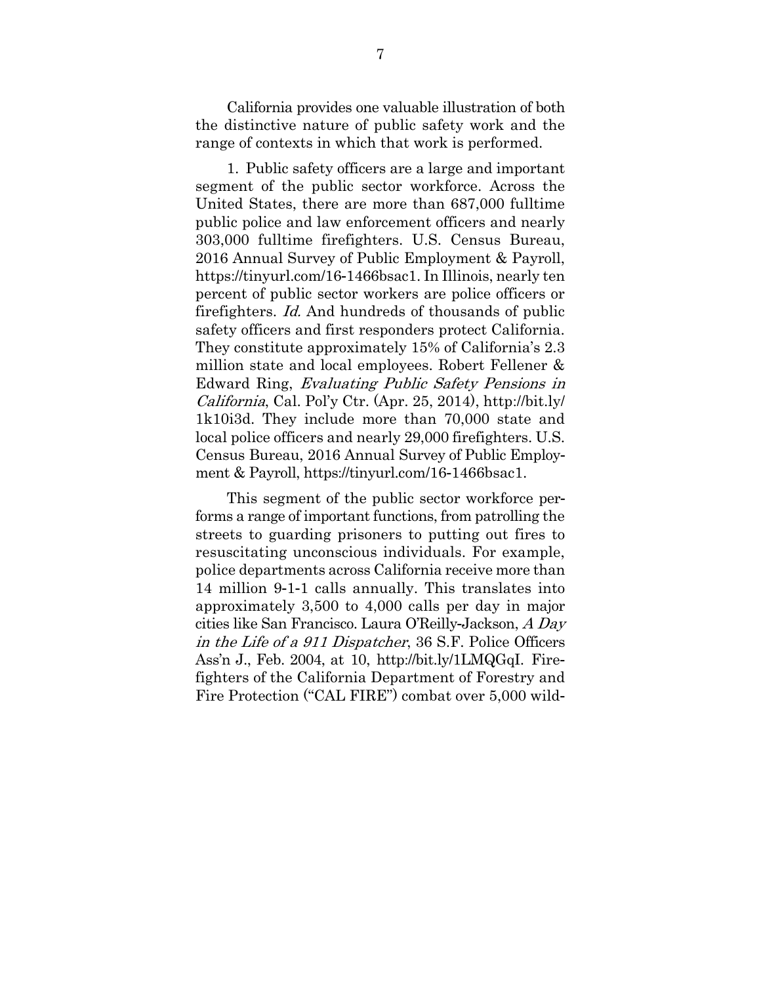California provides one valuable illustration of both the distinctive nature of public safety work and the range of contexts in which that work is performed.

1. Public safety officers are a large and important segment of the public sector workforce. Across the United States, there are more than 687,000 fulltime public police and law enforcement officers and nearly 303,000 fulltime firefighters. U.S. Census Bureau, 2016 Annual Survey of Public Employment & Payroll, https://tinyurl.com/16-1466bsac1. In Illinois, nearly ten percent of public sector workers are police officers or firefighters. Id. And hundreds of thousands of public safety officers and first responders protect California. They constitute approximately 15% of California's 2.3 million state and local employees. Robert Fellener & Edward Ring, Evaluating Public Safety Pensions in California, Cal. Pol'y Ctr. (Apr. 25, 2014), http://bit.ly/ 1k10i3d. They include more than 70,000 state and local police officers and nearly 29,000 firefighters. U.S. Census Bureau, 2016 Annual Survey of Public Employment & Payroll, https://tinyurl.com/16-1466bsac1.

This segment of the public sector workforce performs a range of important functions, from patrolling the streets to guarding prisoners to putting out fires to resuscitating unconscious individuals. For example, police departments across California receive more than 14 million 9-1-1 calls annually. This translates into approximately 3,500 to 4,000 calls per day in major cities like San Francisco. Laura O'Reilly-Jackson, A Day in the Life of a 911 Dispatcher, 36 S.F. Police Officers Ass'n J., Feb. 2004, at 10, http://bit.ly/1LMQGqI. Firefighters of the California Department of Forestry and Fire Protection ("CAL FIRE") combat over 5,000 wild-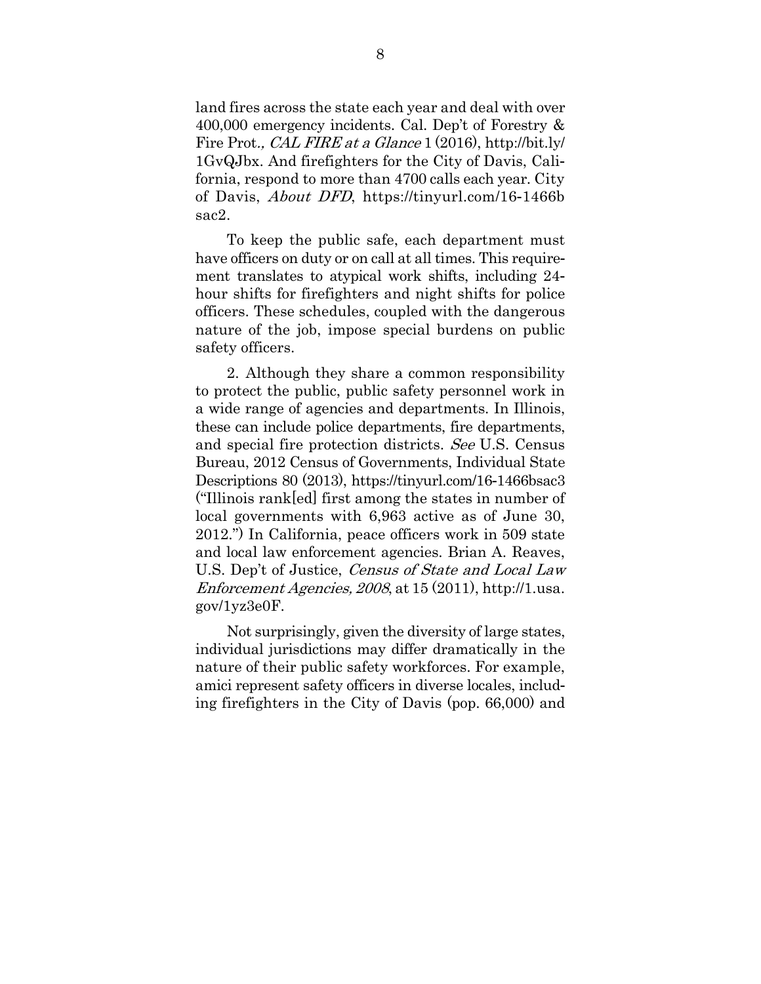land fires across the state each year and deal with over 400,000 emergency incidents. Cal. Dep't of Forestry & Fire Prot., CAL FIRE at a Glance 1 (2016), http://bit.ly/ 1GvQJbx. And firefighters for the City of Davis, California, respond to more than 4700 calls each year. City of Davis, About DFD, https://tinyurl.com/16-1466b sac2.

To keep the public safe, each department must have officers on duty or on call at all times. This requirement translates to atypical work shifts, including 24 hour shifts for firefighters and night shifts for police officers. These schedules, coupled with the dangerous nature of the job, impose special burdens on public safety officers.

2. Although they share a common responsibility to protect the public, public safety personnel work in a wide range of agencies and departments. In Illinois, these can include police departments, fire departments, and special fire protection districts. See U.S. Census Bureau, 2012 Census of Governments, Individual State Descriptions 80 (2013), https://tinyurl.com/16-1466bsac3 ("Illinois rank[ed] first among the states in number of local governments with 6,963 active as of June 30, 2012.") In California, peace officers work in 509 state and local law enforcement agencies. Brian A. Reaves, U.S. Dep't of Justice, Census of State and Local Law Enforcement Agencies, <sup>2008</sup>, at 15 (2011), http://1.usa. gov/1yz3e0F.

Not surprisingly, given the diversity of large states, individual jurisdictions may differ dramatically in the nature of their public safety workforces. For example, amici represent safety officers in diverse locales, including firefighters in the City of Davis (pop. 66,000) and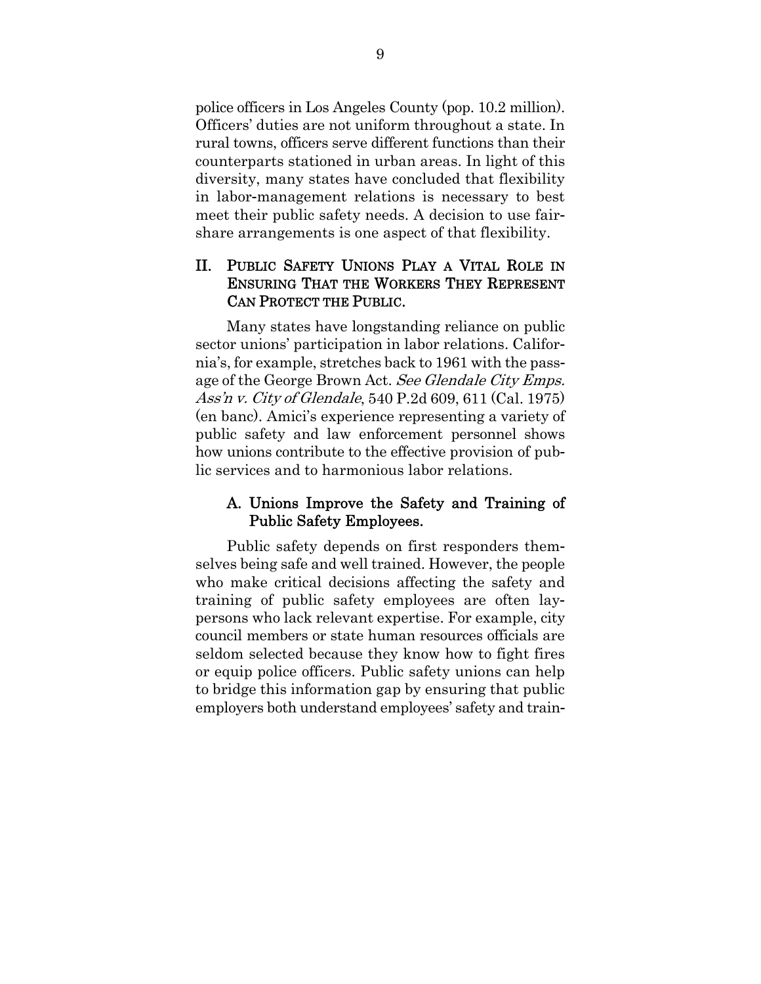police officers in Los Angeles County (pop. 10.2 million). Officers' duties are not uniform throughout a state. In rural towns, officers serve different functions than their counterparts stationed in urban areas. In light of this diversity, many states have concluded that flexibility in labor-management relations is necessary to best meet their public safety needs. A decision to use fairshare arrangements is one aspect of that flexibility.

# II. PUBLIC SAFETY UNIONS PLAY A VITAL ROLE IN ENSURING THAT THE WORKERS THEY REPRESENT CAN PROTECT THE PUBLIC.

Many states have longstanding reliance on public sector unions' participation in labor relations. California's, for example, stretches back to 1961 with the passage of the George Brown Act. See Glendale City Emps. Ass'n v. City of Glendale, 540 P.2d 609, 611 (Cal. 1975) (en banc). Amici's experience representing a variety of public safety and law enforcement personnel shows how unions contribute to the effective provision of public services and to harmonious labor relations.

# A. Unions Improve the Safety and Training of Public Safety Employees.

Public safety depends on first responders themselves being safe and well trained. However, the people who make critical decisions affecting the safety and training of public safety employees are often laypersons who lack relevant expertise. For example, city council members or state human resources officials are seldom selected because they know how to fight fires or equip police officers. Public safety unions can help to bridge this information gap by ensuring that public employers both understand employees' safety and train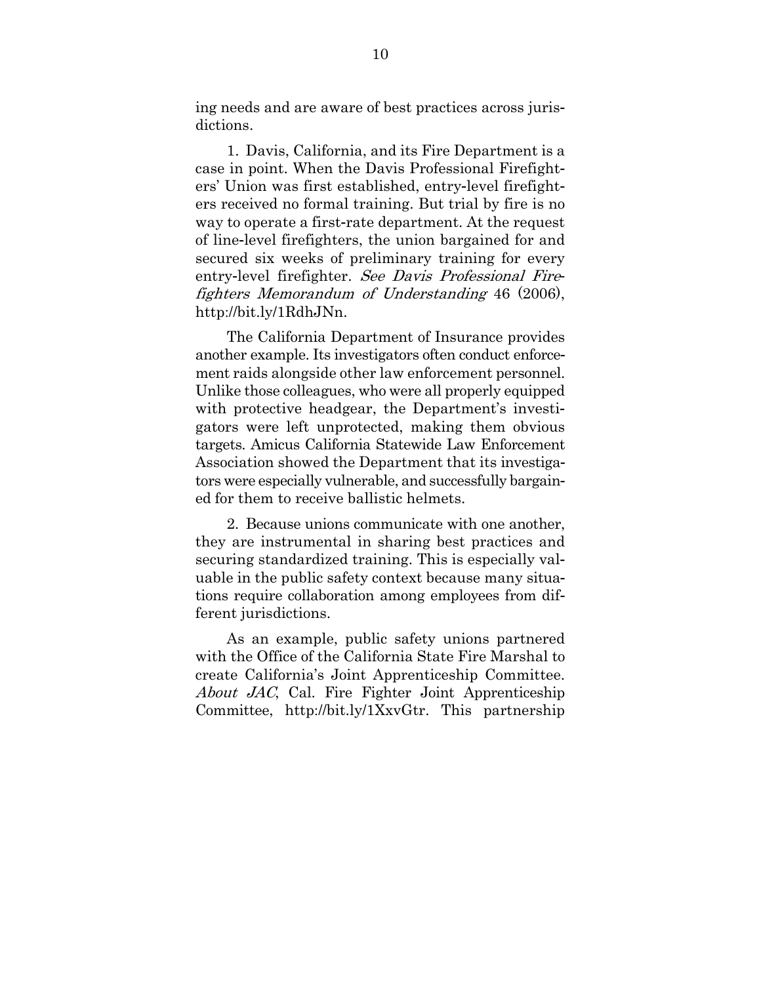ing needs and are aware of best practices across jurisdictions.

1. Davis, California, and its Fire Department is a case in point. When the Davis Professional Firefighters' Union was first established, entry-level firefighters received no formal training. But trial by fire is no way to operate a first-rate department. At the request of line-level firefighters, the union bargained for and secured six weeks of preliminary training for every entry-level firefighter. See Davis Professional Firefighters Memorandum of Understanding 46 (2006), http://bit.ly/1RdhJNn.

The California Department of Insurance provides another example. Its investigators often conduct enforcement raids alongside other law enforcement personnel. Unlike those colleagues, who were all properly equipped with protective headgear, the Department's investigators were left unprotected, making them obvious targets. Amicus California Statewide Law Enforcement Association showed the Department that its investigators were especially vulnerable, and successfully bargained for them to receive ballistic helmets.

2. Because unions communicate with one another, they are instrumental in sharing best practices and securing standardized training. This is especially valuable in the public safety context because many situations require collaboration among employees from different jurisdictions.

As an example, public safety unions partnered with the Office of the California State Fire Marshal to create California's Joint Apprenticeship Committee. About JAC, Cal. Fire Fighter Joint Apprenticeship Committee, http://bit.ly/1XxvGtr. This partnership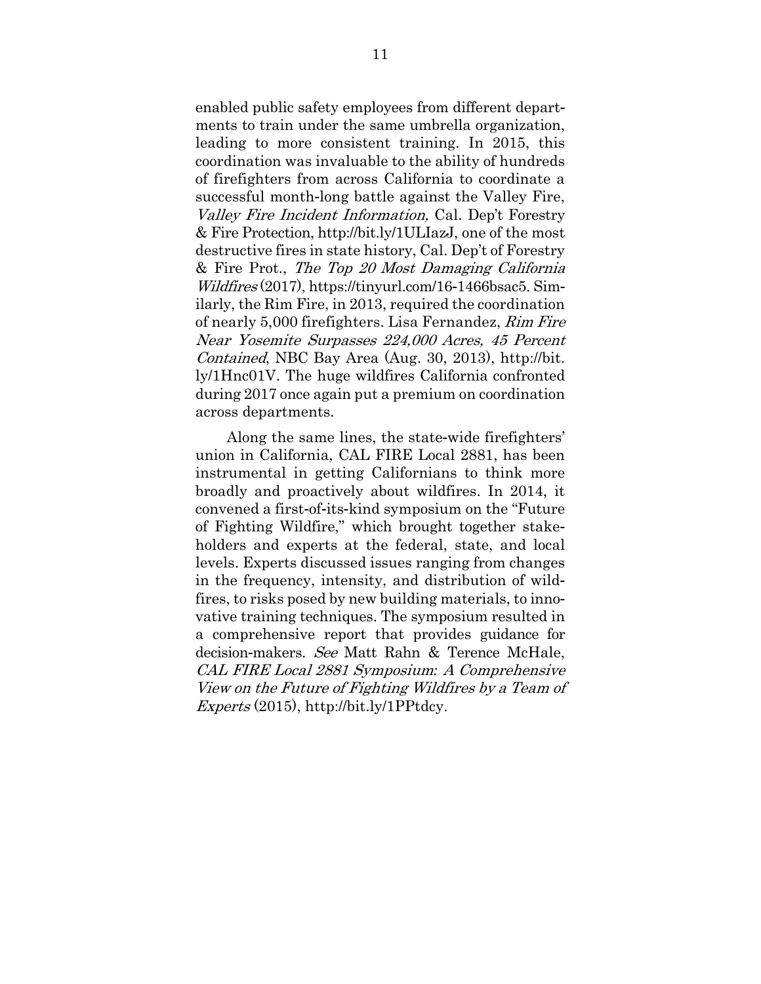enabled public safety employees from different departments to train under the same umbrella organization, leading to more consistent training. In 2015, this coordination was invaluable to the ability of hundreds of firefighters from across California to coordinate a successful month-long battle against the Valley Fire, Valley Fire Incident Information, Cal. Dep't Forestry & Fire Protection, http://bit.ly/1ULIazJ, one of the most destructive fires in state history, Cal. Dep't of Forestry & Fire Prot., The Top 20 Most Damaging California Wildfires (2017), https://tinyurl.com/16-1466bsac5. Similarly, the Rim Fire, in 2013, required the coordination of nearly 5,000 firefighters. Lisa Fernandez, Rim Fire Near Yosemite Surpasses 224,000 Acres, 45 Percent Contained, NBC Bay Area (Aug. 30, 2013), http://bit. ly/1Hnc01V. The huge wildfires California confronted during 2017 once again put a premium on coordination across departments.

Along the same lines, the state-wide firefighters' union in California, CAL FIRE Local 2881, has been instrumental in getting Californians to think more broadly and proactively about wildfires. In 2014, it convened a first-of-its-kind symposium on the "Future of Fighting Wildfire," which brought together stakeholders and experts at the federal, state, and local levels. Experts discussed issues ranging from changes in the frequency, intensity, and distribution of wildfires, to risks posed by new building materials, to innovative training techniques. The symposium resulted in a comprehensive report that provides guidance for decision-makers. See Matt Rahn & Terence McHale, CAL FIRE Local 2881 Symposium*:* A Comprehensive View on the Future of Fighting Wildfires by a Team of Experts (2015), http://bit.ly/1PPtdcy.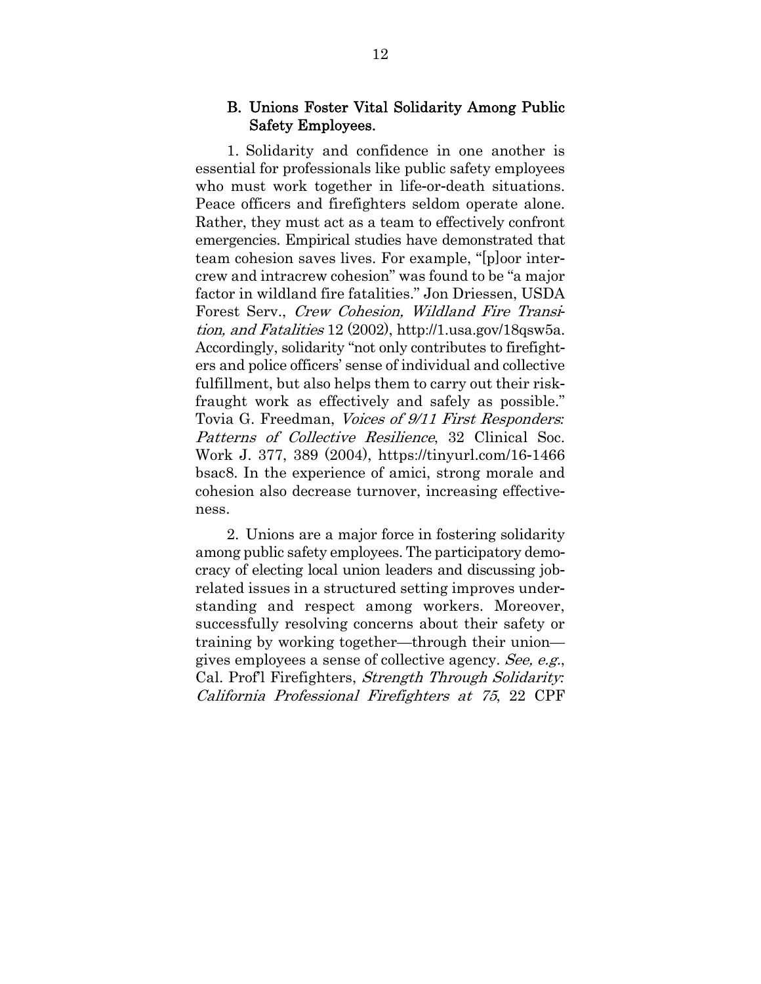### B. Unions Foster Vital Solidarity Among Public Safety Employees.

1. Solidarity and confidence in one another is essential for professionals like public safety employees who must work together in life-or-death situations. Peace officers and firefighters seldom operate alone. Rather, they must act as a team to effectively confront emergencies. Empirical studies have demonstrated that team cohesion saves lives. For example, "[p]oor intercrew and intracrew cohesion" was found to be "a major factor in wildland fire fatalities." Jon Driessen, USDA Forest Serv., Crew Cohesion, Wildland Fire Transition, and Fatalities 12 (2002), http://1.usa.gov/18qsw5a. Accordingly, solidarity "not only contributes to firefighters and police officers' sense of individual and collective fulfillment, but also helps them to carry out their riskfraught work as effectively and safely as possible." Tovia G. Freedman, Voices of 9/11 First Responders*:* Patterns of Collective Resilience, 32 Clinical Soc. Work J. 377, 389 (2004), https://tinyurl.com/16-1466 bsac8. In the experience of amici, strong morale and cohesion also decrease turnover, increasing effectiveness.

2. Unions are a major force in fostering solidarity among public safety employees. The participatory democracy of electing local union leaders and discussing jobrelated issues in a structured setting improves understanding and respect among workers. Moreover, successfully resolving concerns about their safety or training by working together—through their union gives employees a sense of collective agency. See, e.g., Cal. Prof'l Firefighters, Strength Through Solidarity*:* California Professional Firefighters at 75, 22 CPF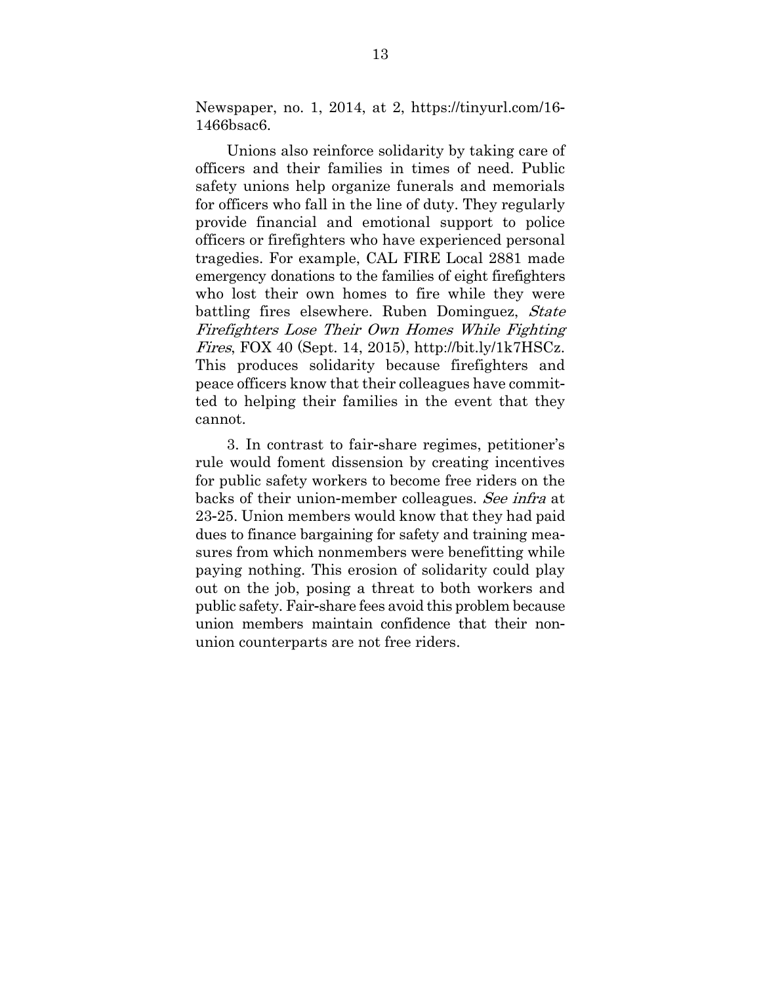Newspaper, no. 1, 2014, at 2, https://tinyurl.com/16- 1466bsac6.

Unions also reinforce solidarity by taking care of officers and their families in times of need. Public safety unions help organize funerals and memorials for officers who fall in the line of duty. They regularly provide financial and emotional support to police officers or firefighters who have experienced personal tragedies. For example, CAL FIRE Local 2881 made emergency donations to the families of eight firefighters who lost their own homes to fire while they were battling fires elsewhere. Ruben Dominguez, State Firefighters Lose Their Own Homes While Fighting Fires, FOX 40 (Sept. 14, 2015), http://bit.ly/1k7HSCz. This produces solidarity because firefighters and peace officers know that their colleagues have committed to helping their families in the event that they cannot.

3. In contrast to fair-share regimes, petitioner's rule would foment dissension by creating incentives for public safety workers to become free riders on the backs of their union-member colleagues. See infra at 23-25. Union members would know that they had paid dues to finance bargaining for safety and training measures from which nonmembers were benefitting while paying nothing. This erosion of solidarity could play out on the job, posing a threat to both workers and public safety. Fair-share fees avoid this problem because union members maintain confidence that their nonunion counterparts are not free riders.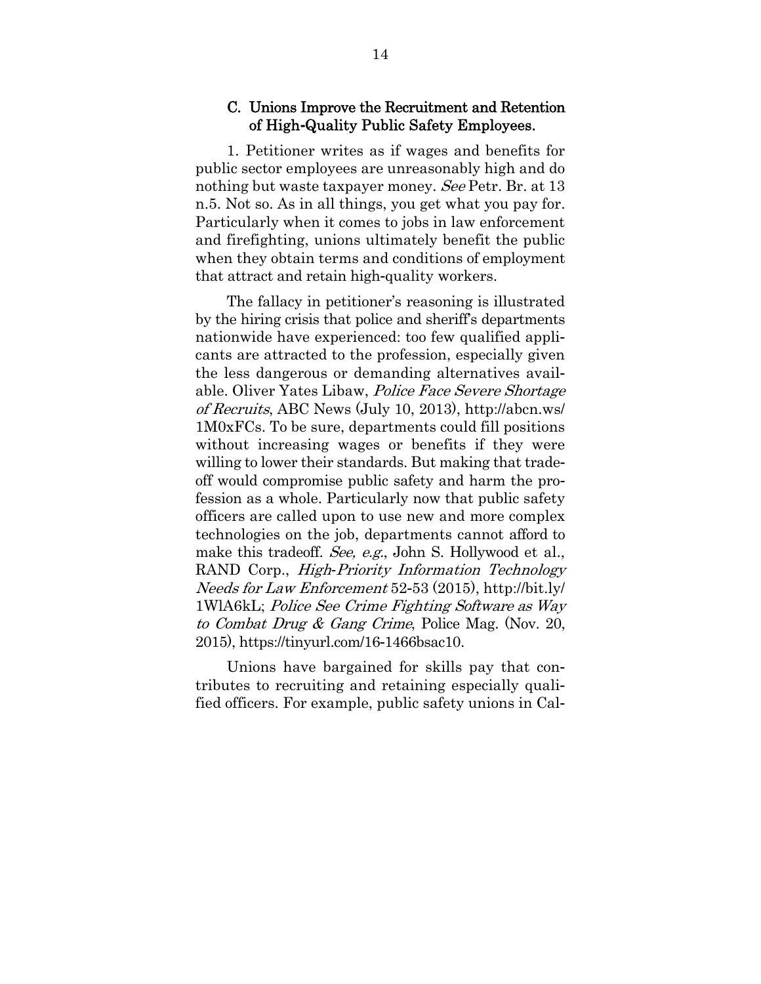#### C. Unions Improve the Recruitment and Retention of High**-**Quality Public Safety Employees.

1. Petitioner writes as if wages and benefits for public sector employees are unreasonably high and do nothing but waste taxpayer money. See Petr. Br. at 13 n.5. Not so. As in all things, you get what you pay for. Particularly when it comes to jobs in law enforcement and firefighting, unions ultimately benefit the public when they obtain terms and conditions of employment that attract and retain high-quality workers.

The fallacy in petitioner's reasoning is illustrated by the hiring crisis that police and sheriff's departments nationwide have experienced: too few qualified applicants are attracted to the profession, especially given the less dangerous or demanding alternatives available. Oliver Yates Libaw, Police Face Severe Shortage of Recruits, ABC News (July 10, 2013), http://abcn.ws/ 1M0xFCs. To be sure, departments could fill positions without increasing wages or benefits if they were willing to lower their standards. But making that tradeoff would compromise public safety and harm the profession as a whole. Particularly now that public safety officers are called upon to use new and more complex technologies on the job, departments cannot afford to make this tradeoff. See, e.g., John S. Hollywood et al., RAND Corp., High*-*Priority Information Technology Needs for Law Enforcement 52-53 (2015), http://bit.ly/ 1WlA6kL; Police See Crime Fighting Software as Way to Combat Drug & Gang Crime, Police Mag. (Nov. 20, 2015), https://tinyurl.com/16-1466bsac10.

Unions have bargained for skills pay that contributes to recruiting and retaining especially qualified officers. For example, public safety unions in Cal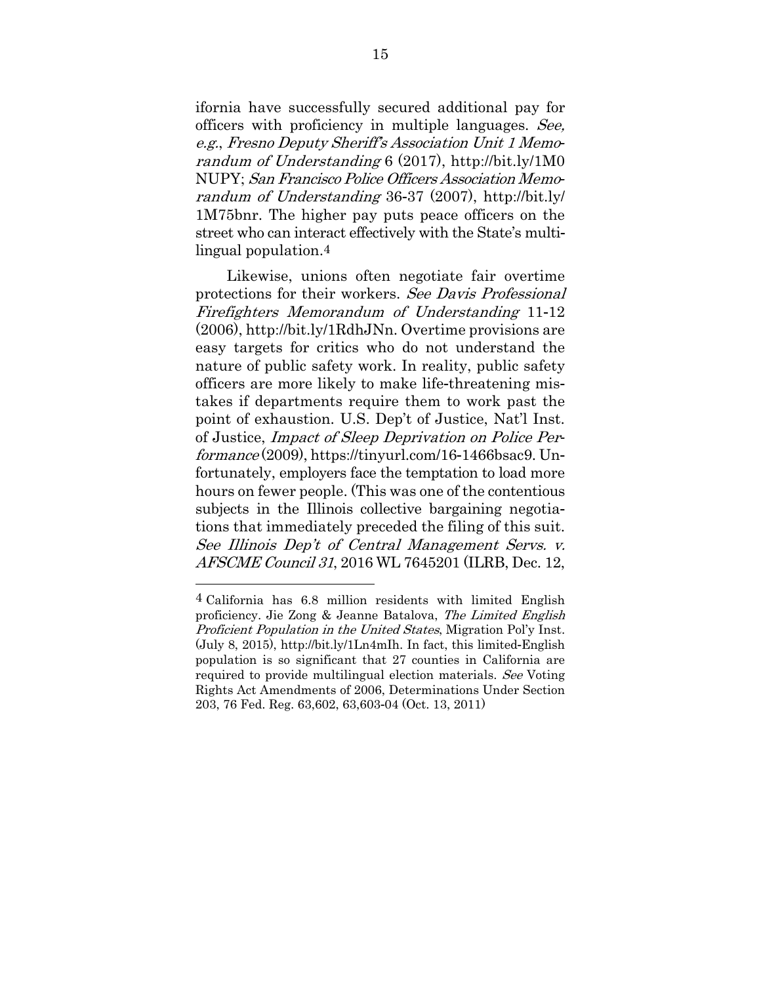ifornia have successfully secured additional pay for officers with proficiency in multiple languages. See, e.g., Fresno Deputy Sheriff's Association Unit 1 Memorandum of Understanding 6 (2017), http://bit.ly/1M0 NUPY; San Francisco Police Officers Association Memorandum of Understanding 36-37 (2007), http://bit.ly/ 1M75bnr. The higher pay puts peace officers on the street who can interact effectively with the State's multilingual population.4

Likewise, unions often negotiate fair overtime protections for their workers. See Davis Professional Firefighters Memorandum of Understanding 11-12 (2006), http://bit.ly/1RdhJNn. Overtime provisions are easy targets for critics who do not understand the nature of public safety work. In reality, public safety officers are more likely to make life-threatening mistakes if departments require them to work past the point of exhaustion. U.S. Dep't of Justice, Nat'l Inst. of Justice, Impact of Sleep Deprivation on Police Performance (2009), https://tinyurl.com/16-1466bsac9. Unfortunately, employers face the temptation to load more hours on fewer people. (This was one of the contentious subjects in the Illinois collective bargaining negotiations that immediately preceded the filing of this suit. See Illinois Dep't of Central Management Servs. v. AFSCME Council 31, 2016 WL 7645201 (ILRB, Dec. 12,

1

<sup>4</sup> California has 6.8 million residents with limited English proficiency. Jie Zong & Jeanne Batalova, The Limited English Proficient Population in the United States, Migration Pol'y Inst. (July 8, 2015), http://bit.ly/1Ln4mIh. In fact, this limited-English population is so significant that 27 counties in California are required to provide multilingual election materials. See Voting Rights Act Amendments of 2006, Determinations Under Section 203, 76 Fed. Reg. 63,602, 63,603-04 (Oct. 13, 2011)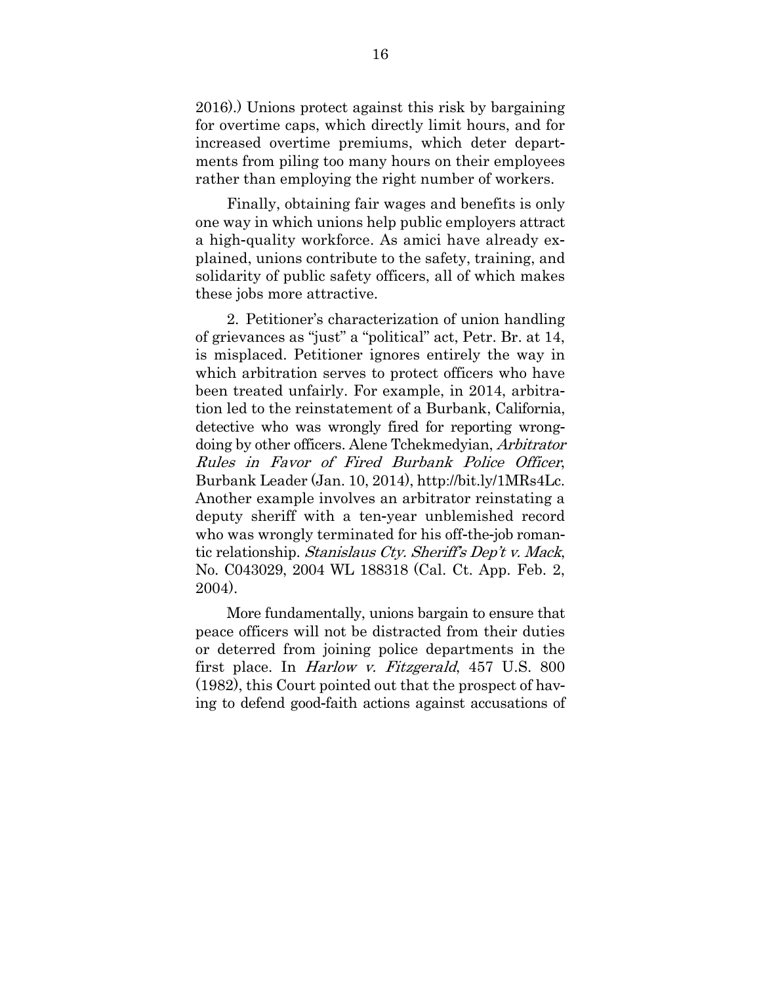2016).) Unions protect against this risk by bargaining for overtime caps, which directly limit hours, and for increased overtime premiums, which deter departments from piling too many hours on their employees rather than employing the right number of workers.

Finally, obtaining fair wages and benefits is only one way in which unions help public employers attract a high-quality workforce. As amici have already explained, unions contribute to the safety, training, and solidarity of public safety officers, all of which makes these jobs more attractive.

2. Petitioner's characterization of union handling of grievances as "just" a "political" act, Petr. Br. at 14, is misplaced. Petitioner ignores entirely the way in which arbitration serves to protect officers who have been treated unfairly. For example, in 2014, arbitration led to the reinstatement of a Burbank, California, detective who was wrongly fired for reporting wrongdoing by other officers. Alene Tchekmedyian, Arbitrator Rules in Favor of Fired Burbank Police Officer, Burbank Leader (Jan. 10, 2014), http://bit.ly/1MRs4Lc. Another example involves an arbitrator reinstating a deputy sheriff with a ten-year unblemished record who was wrongly terminated for his off-the-job romantic relationship. Stanislaus Cty. Sheriff's Dep't v. Mack, No. C043029, 2004 WL 188318 (Cal. Ct. App. Feb. 2, 2004).

More fundamentally, unions bargain to ensure that peace officers will not be distracted from their duties or deterred from joining police departments in the first place. In Harlow v. Fitzgerald, 457 U.S. 800 (1982), this Court pointed out that the prospect of having to defend good-faith actions against accusations of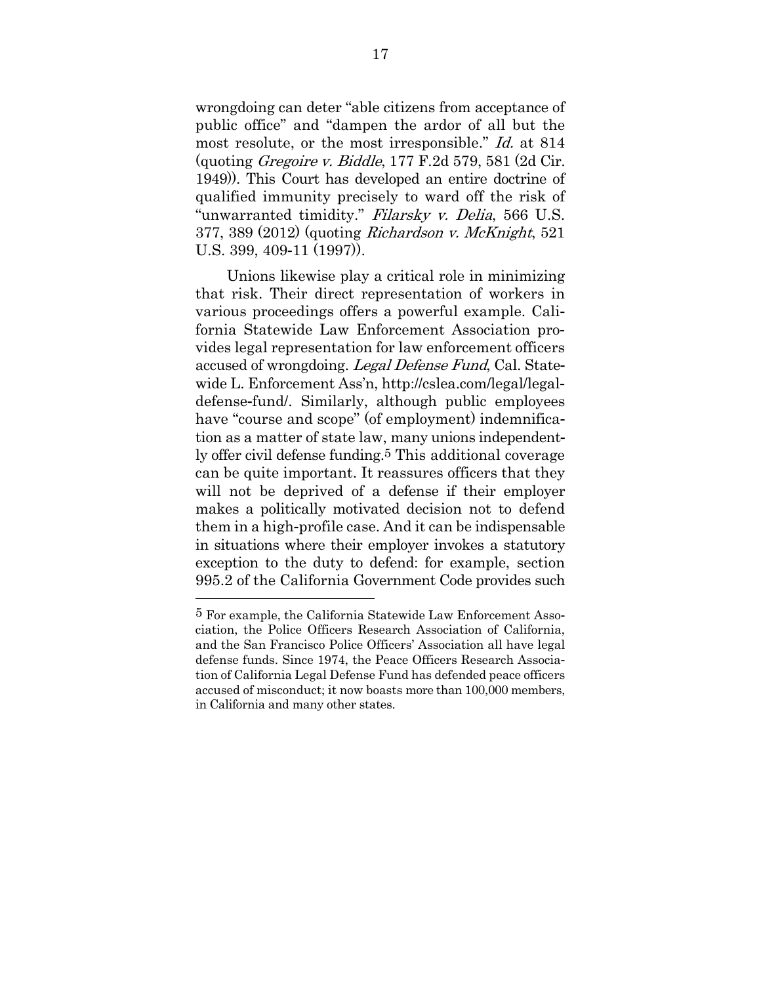wrongdoing can deter "able citizens from acceptance of public office" and "dampen the ardor of all but the most resolute, or the most irresponsible." Id. at 814 (quoting Gregoire v. Biddle, 177 F.2d 579, 581 (2d Cir. 1949)). This Court has developed an entire doctrine of qualified immunity precisely to ward off the risk of "unwarranted timidity." Filarsky v. Delia, 566 U.S. 377, 389 (2012) (quoting Richardson v. McKnight, 521 U.S. 399, 409-11 (1997)).

Unions likewise play a critical role in minimizing that risk. Their direct representation of workers in various proceedings offers a powerful example. California Statewide Law Enforcement Association provides legal representation for law enforcement officers accused of wrongdoing. Legal Defense Fund, Cal. Statewide L. Enforcement Ass'n, http://cslea.com/legal/legaldefense-fund/. Similarly, although public employees have "course and scope" (of employment) indemnification as a matter of state law, many unions independently offer civil defense funding.5 This additional coverage can be quite important. It reassures officers that they will not be deprived of a defense if their employer makes a politically motivated decision not to defend them in a high-profile case. And it can be indispensable in situations where their employer invokes a statutory exception to the duty to defend: for example, section 995.2 of the California Government Code provides such

1

<sup>5</sup> For example, the California Statewide Law Enforcement Association, the Police Officers Research Association of California, and the San Francisco Police Officers' Association all have legal defense funds. Since 1974, the Peace Officers Research Association of California Legal Defense Fund has defended peace officers accused of misconduct; it now boasts more than 100,000 members, in California and many other states.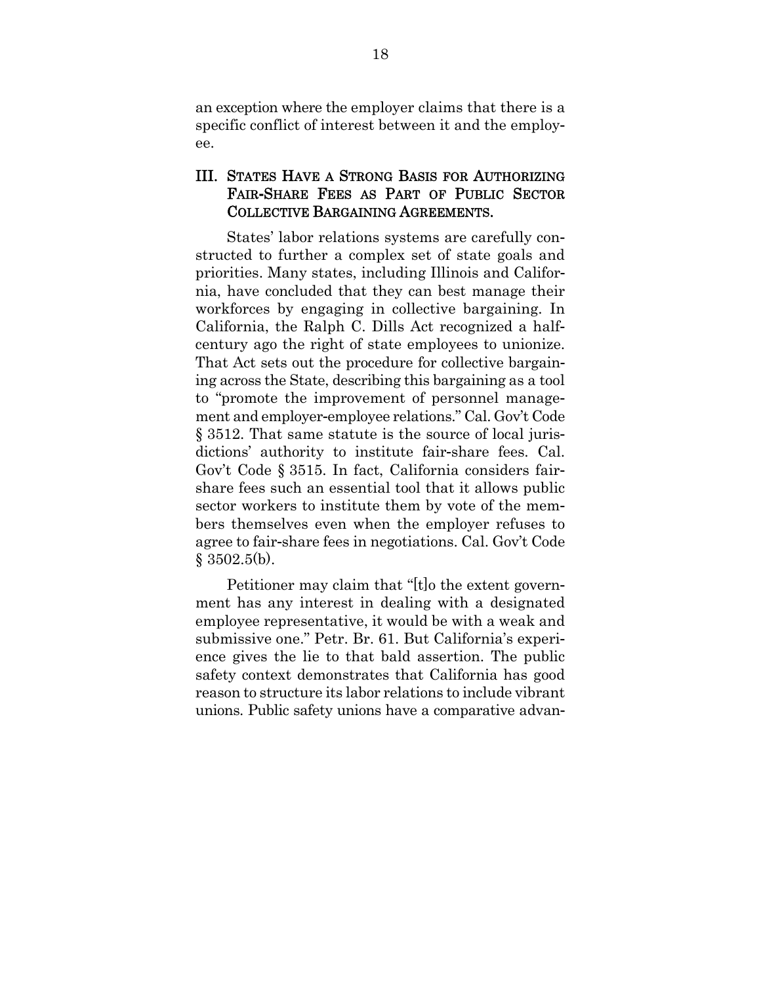an exception where the employer claims that there is a specific conflict of interest between it and the employee.

### III. STATES HAVE A STRONG BASIS FOR AUTHORIZING FAIR**-**SHARE FEES AS PART OF PUBLIC SECTOR COLLECTIVE BARGAINING AGREEMENTS.

States' labor relations systems are carefully constructed to further a complex set of state goals and priorities. Many states, including Illinois and California, have concluded that they can best manage their workforces by engaging in collective bargaining. In California, the Ralph C. Dills Act recognized a halfcentury ago the right of state employees to unionize. That Act sets out the procedure for collective bargaining across the State, describing this bargaining as a tool to "promote the improvement of personnel management and employer-employee relations." Cal. Gov't Code § 3512. That same statute is the source of local jurisdictions' authority to institute fair-share fees. Cal. Gov't Code § 3515. In fact, California considers fairshare fees such an essential tool that it allows public sector workers to institute them by vote of the members themselves even when the employer refuses to agree to fair-share fees in negotiations. Cal. Gov't Code § 3502.5(b).

Petitioner may claim that "[t]o the extent government has any interest in dealing with a designated employee representative, it would be with a weak and submissive one." Petr. Br. 61. But California's experience gives the lie to that bald assertion. The public safety context demonstrates that California has good reason to structure its labor relations to include vibrant unions. Public safety unions have a comparative advan-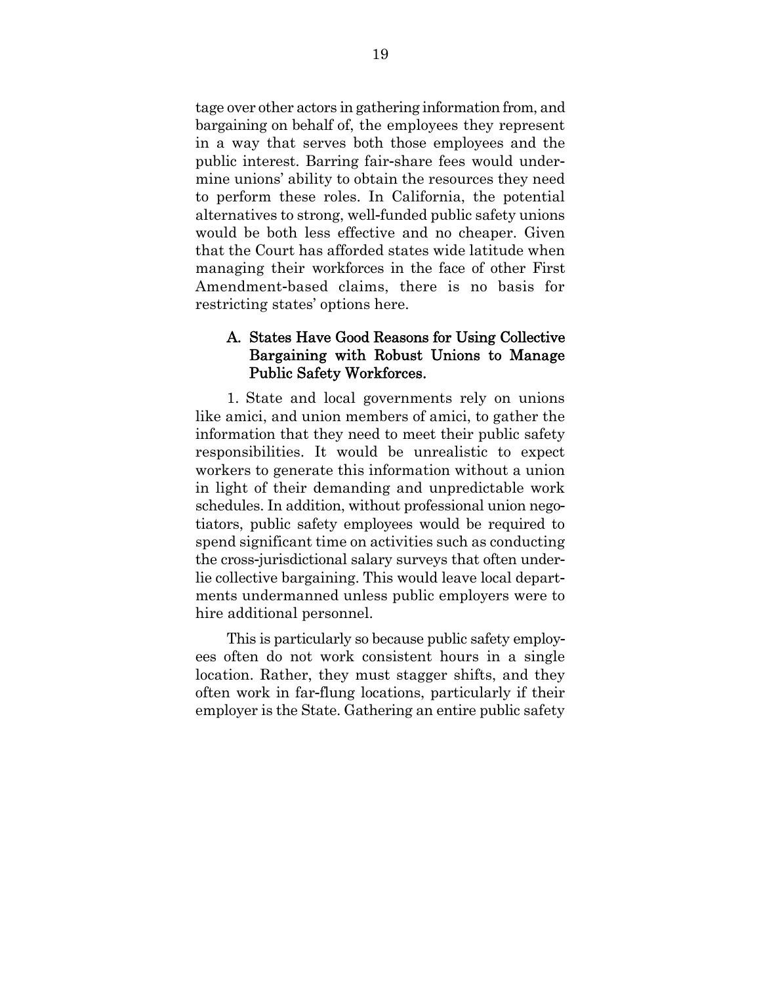tage over other actors in gathering information from, and bargaining on behalf of, the employees they represent in a way that serves both those employees and the public interest. Barring fair-share fees would undermine unions' ability to obtain the resources they need to perform these roles. In California, the potential alternatives to strong, well-funded public safety unions would be both less effective and no cheaper. Given that the Court has afforded states wide latitude when managing their workforces in the face of other First Amendment-based claims, there is no basis for restricting states' options here.

### A. States Have Good Reasons for Using Collective Bargaining with Robust Unions to Manage Public Safety Workforces.

1. State and local governments rely on unions like amici, and union members of amici, to gather the information that they need to meet their public safety responsibilities. It would be unrealistic to expect workers to generate this information without a union in light of their demanding and unpredictable work schedules. In addition, without professional union negotiators, public safety employees would be required to spend significant time on activities such as conducting the cross-jurisdictional salary surveys that often underlie collective bargaining. This would leave local departments undermanned unless public employers were to hire additional personnel.

This is particularly so because public safety employees often do not work consistent hours in a single location. Rather, they must stagger shifts, and they often work in far-flung locations, particularly if their employer is the State. Gathering an entire public safety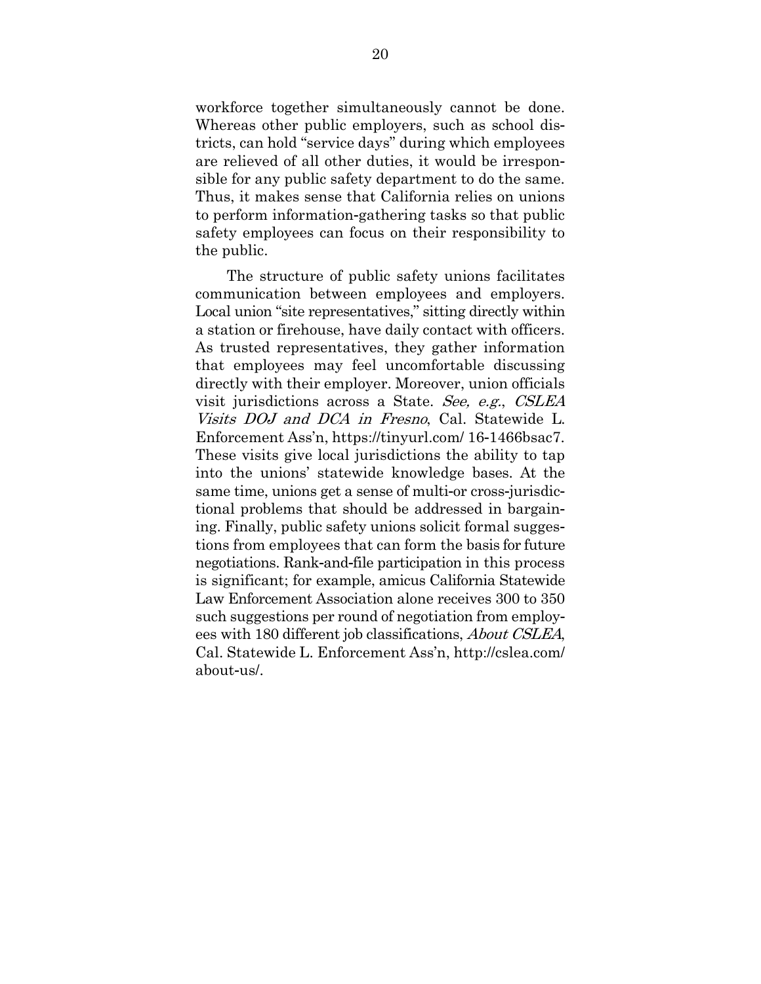workforce together simultaneously cannot be done. Whereas other public employers, such as school districts, can hold "service days" during which employees are relieved of all other duties, it would be irresponsible for any public safety department to do the same. Thus, it makes sense that California relies on unions to perform information-gathering tasks so that public safety employees can focus on their responsibility to the public.

The structure of public safety unions facilitates communication between employees and employers. Local union "site representatives," sitting directly within a station or firehouse, have daily contact with officers. As trusted representatives, they gather information that employees may feel uncomfortable discussing directly with their employer. Moreover, union officials visit jurisdictions across a State. See, e.g., CSLEA Visits DOJ and DCA in Fresno, Cal. Statewide L. Enforcement Ass'n, https://tinyurl.com/ 16-1466bsac7. These visits give local jurisdictions the ability to tap into the unions' statewide knowledge bases. At the same time, unions get a sense of multi-or cross-jurisdictional problems that should be addressed in bargaining. Finally, public safety unions solicit formal suggestions from employees that can form the basis for future negotiations. Rank-and-file participation in this process is significant; for example, amicus California Statewide Law Enforcement Association alone receives 300 to 350 such suggestions per round of negotiation from employees with 180 different job classifications, About CSLEA, Cal. Statewide L. Enforcement Ass'n, http://cslea.com/ about-us/.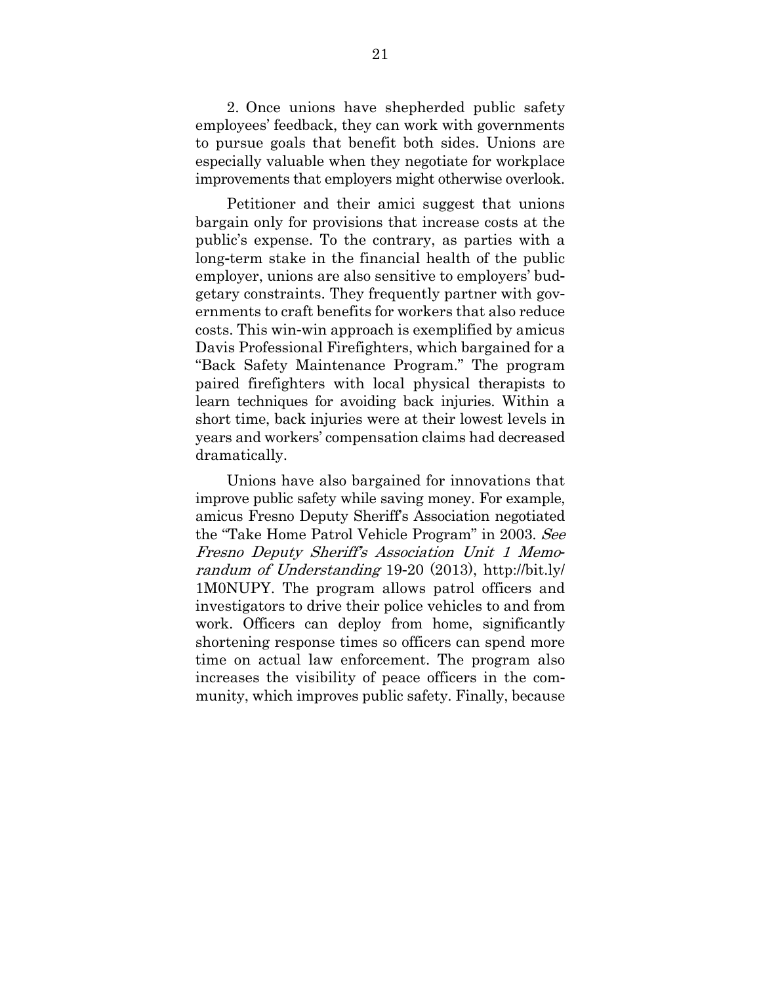2. Once unions have shepherded public safety employees' feedback, they can work with governments to pursue goals that benefit both sides. Unions are especially valuable when they negotiate for workplace improvements that employers might otherwise overlook.

Petitioner and their amici suggest that unions bargain only for provisions that increase costs at the public's expense. To the contrary, as parties with a long-term stake in the financial health of the public employer, unions are also sensitive to employers' budgetary constraints. They frequently partner with governments to craft benefits for workers that also reduce costs. This win-win approach is exemplified by amicus Davis Professional Firefighters, which bargained for a "Back Safety Maintenance Program." The program paired firefighters with local physical therapists to learn techniques for avoiding back injuries. Within a short time, back injuries were at their lowest levels in years and workers' compensation claims had decreased dramatically.

Unions have also bargained for innovations that improve public safety while saving money. For example, amicus Fresno Deputy Sheriff's Association negotiated the "Take Home Patrol Vehicle Program" in 2003. See Fresno Deputy Sheriff's Association Unit 1 Memorandum of Understanding 19-20 (2013), http://bit.ly/ 1M0NUPY. The program allows patrol officers and investigators to drive their police vehicles to and from work. Officers can deploy from home, significantly shortening response times so officers can spend more time on actual law enforcement. The program also increases the visibility of peace officers in the community, which improves public safety. Finally, because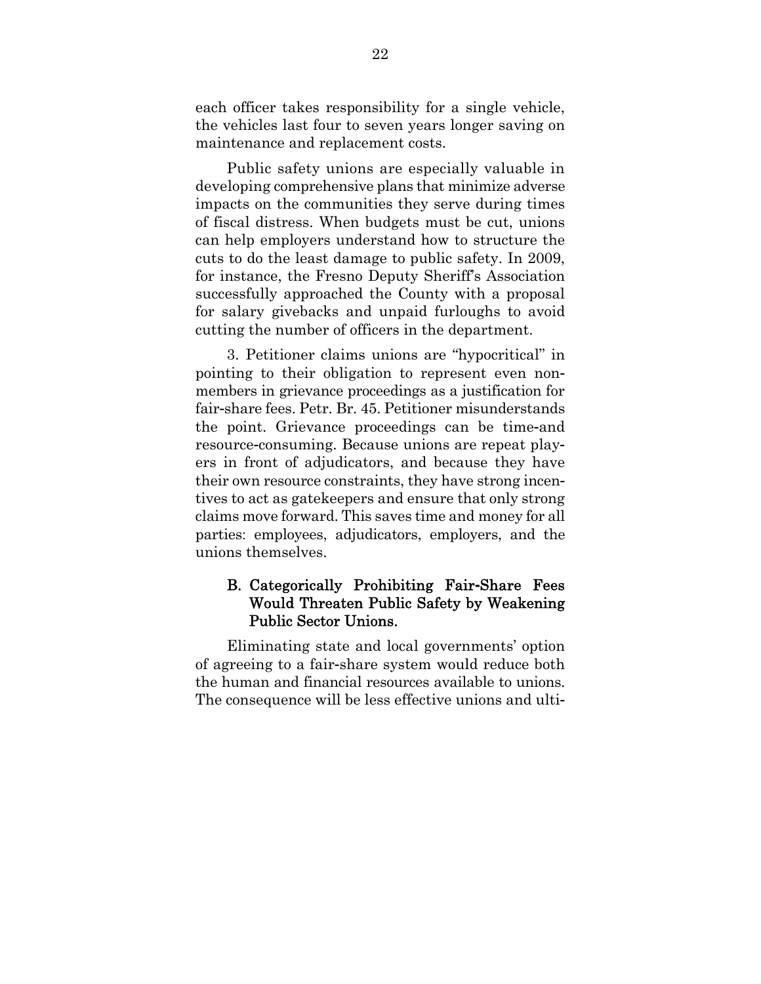each officer takes responsibility for a single vehicle, the vehicles last four to seven years longer saving on maintenance and replacement costs.

Public safety unions are especially valuable in developing comprehensive plans that minimize adverse impacts on the communities they serve during times of fiscal distress. When budgets must be cut, unions can help employers understand how to structure the cuts to do the least damage to public safety. In 2009, for instance, the Fresno Deputy Sheriff's Association successfully approached the County with a proposal for salary givebacks and unpaid furloughs to avoid cutting the number of officers in the department.

3. Petitioner claims unions are "hypocritical" in pointing to their obligation to represent even nonmembers in grievance proceedings as a justification for fair-share fees. Petr. Br. 45. Petitioner misunderstands the point. Grievance proceedings can be time-and resource-consuming. Because unions are repeat players in front of adjudicators, and because they have their own resource constraints, they have strong incentives to act as gatekeepers and ensure that only strong claims move forward. This saves time and money for all parties: employees, adjudicators, employers, and the unions themselves.

### B. Categorically Prohibiting Fair**-**Share Fees Would Threaten Public Safety by Weakening Public Sector Unions.

Eliminating state and local governments' option of agreeing to a fair-share system would reduce both the human and financial resources available to unions. The consequence will be less effective unions and ulti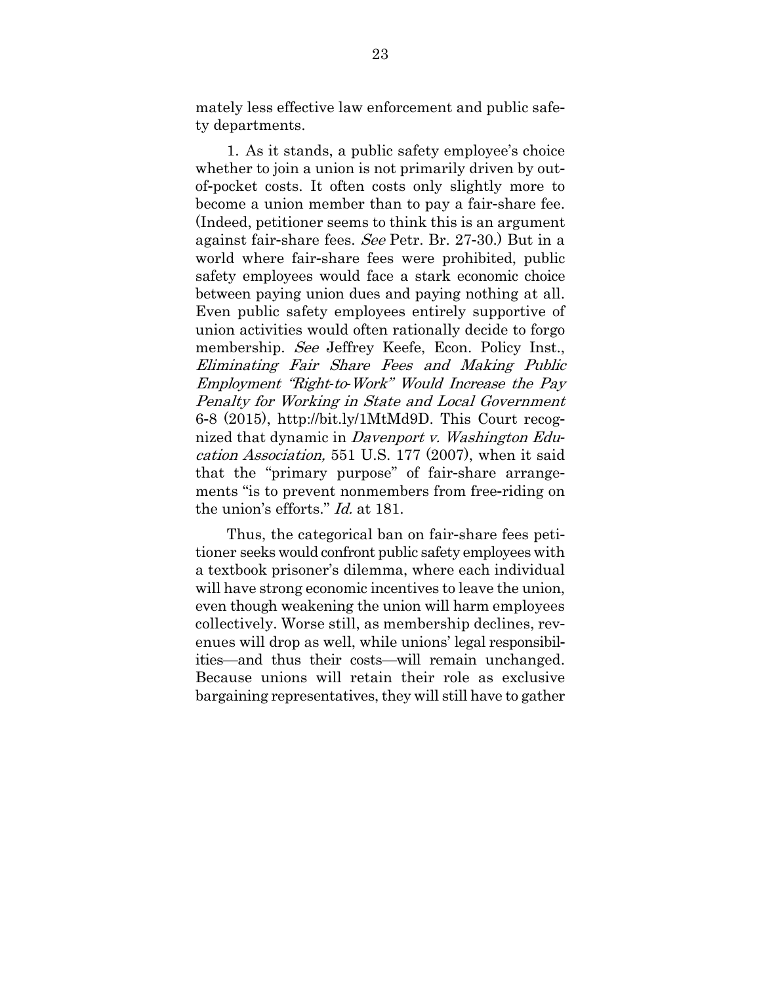mately less effective law enforcement and public safety departments.

1. As it stands, a public safety employee's choice whether to join a union is not primarily driven by outof-pocket costs. It often costs only slightly more to become a union member than to pay a fair-share fee. (Indeed, petitioner seems to think this is an argument against fair-share fees. See Petr. Br. 27-30.) But in a world where fair-share fees were prohibited, public safety employees would face a stark economic choice between paying union dues and paying nothing at all. Even public safety employees entirely supportive of union activities would often rationally decide to forgo membership. See Jeffrey Keefe, Econ. Policy Inst., Eliminating Fair Share Fees and Making Public Employment "Right*-*to*-*Work" Would Increase the Pay Penalty for Working in State and Local Government 6-8 (2015), http://bit.ly/1MtMd9D. This Court recognized that dynamic in Davenport v. Washington Education Association, 551 U.S. 177 (2007), when it said that the "primary purpose" of fair-share arrangements "is to prevent nonmembers from free-riding on the union's efforts." Id. at 181.

Thus, the categorical ban on fair-share fees petitioner seeks would confront public safety employees with a textbook prisoner's dilemma, where each individual will have strong economic incentives to leave the union, even though weakening the union will harm employees collectively. Worse still, as membership declines, revenues will drop as well, while unions' legal responsibilities—and thus their costs—will remain unchanged. Because unions will retain their role as exclusive bargaining representatives, they will still have to gather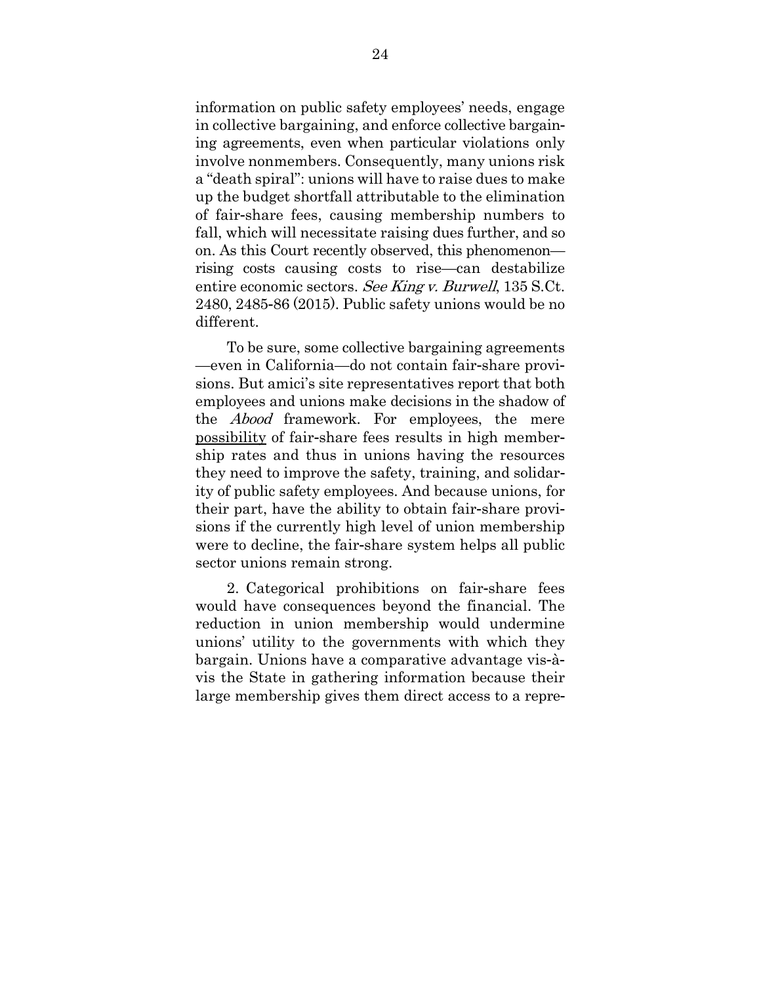information on public safety employees' needs, engage in collective bargaining, and enforce collective bargaining agreements, even when particular violations only involve nonmembers. Consequently, many unions risk a "death spiral": unions will have to raise dues to make up the budget shortfall attributable to the elimination of fair-share fees, causing membership numbers to fall, which will necessitate raising dues further, and so on. As this Court recently observed, this phenomenon rising costs causing costs to rise—can destabilize entire economic sectors. See King v. Burwell, 135 S.Ct. 2480, 2485-86 (2015). Public safety unions would be no different.

To be sure, some collective bargaining agreements —even in California—do not contain fair-share provisions. But amici's site representatives report that both employees and unions make decisions in the shadow of the Abood framework. For employees, the mere possibility of fair-share fees results in high membership rates and thus in unions having the resources they need to improve the safety, training, and solidarity of public safety employees. And because unions, for their part, have the ability to obtain fair-share provisions if the currently high level of union membership were to decline, the fair-share system helps all public sector unions remain strong.

2. Categorical prohibitions on fair-share fees would have consequences beyond the financial. The reduction in union membership would undermine unions' utility to the governments with which they bargain. Unions have a comparative advantage vis-àvis the State in gathering information because their large membership gives them direct access to a repre-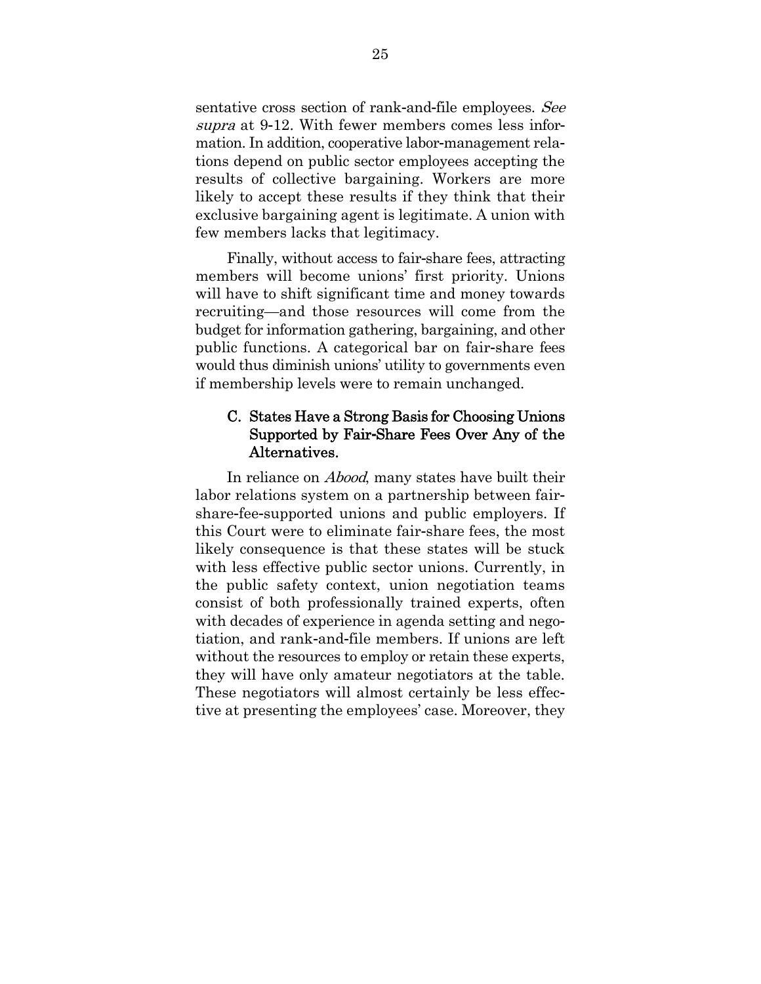sentative cross section of rank-and-file employees. See supra at 9-12. With fewer members comes less information. In addition, cooperative labor-management relations depend on public sector employees accepting the results of collective bargaining. Workers are more likely to accept these results if they think that their exclusive bargaining agent is legitimate. A union with few members lacks that legitimacy.

Finally, without access to fair-share fees, attracting members will become unions' first priority. Unions will have to shift significant time and money towards recruiting—and those resources will come from the budget for information gathering, bargaining, and other public functions. A categorical bar on fair-share fees would thus diminish unions' utility to governments even if membership levels were to remain unchanged.

## C. States Have a Strong Basis for Choosing Unions Supported by Fair**-**Share Fees Over Any of the Alternatives.

In reliance on *Abood*, many states have built their labor relations system on a partnership between fairshare-fee-supported unions and public employers. If this Court were to eliminate fair-share fees, the most likely consequence is that these states will be stuck with less effective public sector unions. Currently, in the public safety context, union negotiation teams consist of both professionally trained experts, often with decades of experience in agenda setting and negotiation, and rank-and-file members. If unions are left without the resources to employ or retain these experts, they will have only amateur negotiators at the table. These negotiators will almost certainly be less effective at presenting the employees' case. Moreover, they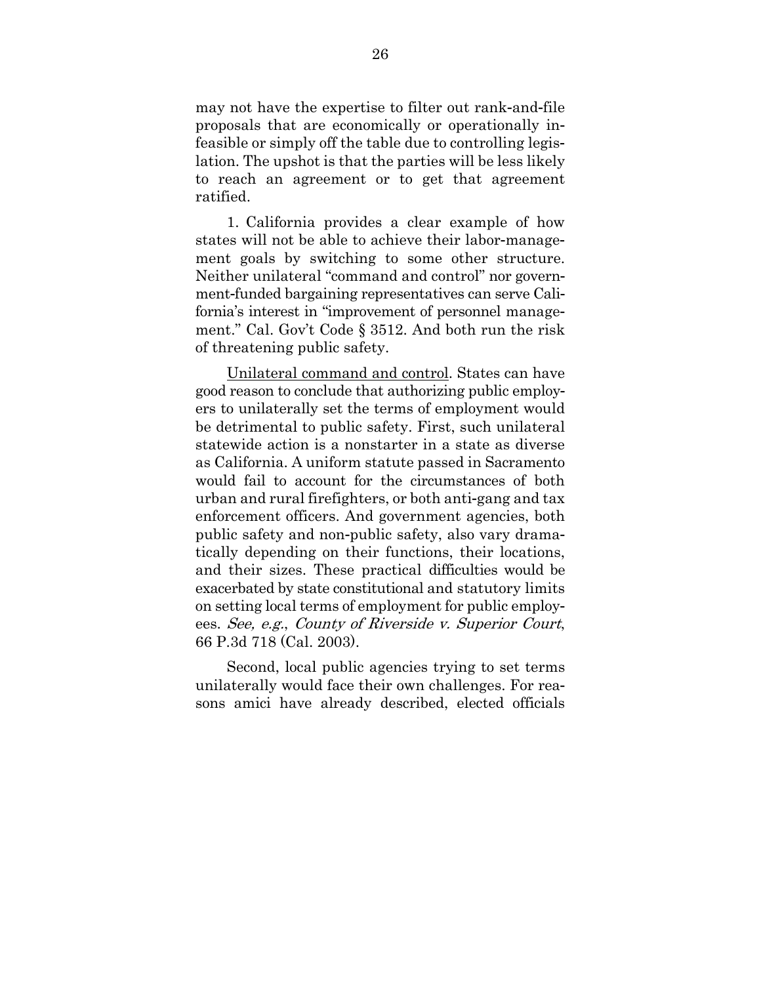may not have the expertise to filter out rank-and-file proposals that are economically or operationally infeasible or simply off the table due to controlling legislation. The upshot is that the parties will be less likely to reach an agreement or to get that agreement ratified.

1. California provides a clear example of how states will not be able to achieve their labor-management goals by switching to some other structure. Neither unilateral "command and control" nor government-funded bargaining representatives can serve California's interest in "improvement of personnel management." Cal. Gov't Code § 3512. And both run the risk of threatening public safety.

Unilateral command and control. States can have good reason to conclude that authorizing public employers to unilaterally set the terms of employment would be detrimental to public safety. First, such unilateral statewide action is a nonstarter in a state as diverse as California. A uniform statute passed in Sacramento would fail to account for the circumstances of both urban and rural firefighters, or both anti-gang and tax enforcement officers. And government agencies, both public safety and non-public safety, also vary dramatically depending on their functions, their locations, and their sizes. These practical difficulties would be exacerbated by state constitutional and statutory limits on setting local terms of employment for public employees. See, e.g., County of Riverside v. Superior Court, 66 P.3d 718 (Cal. 2003).

Second, local public agencies trying to set terms unilaterally would face their own challenges. For reasons amici have already described, elected officials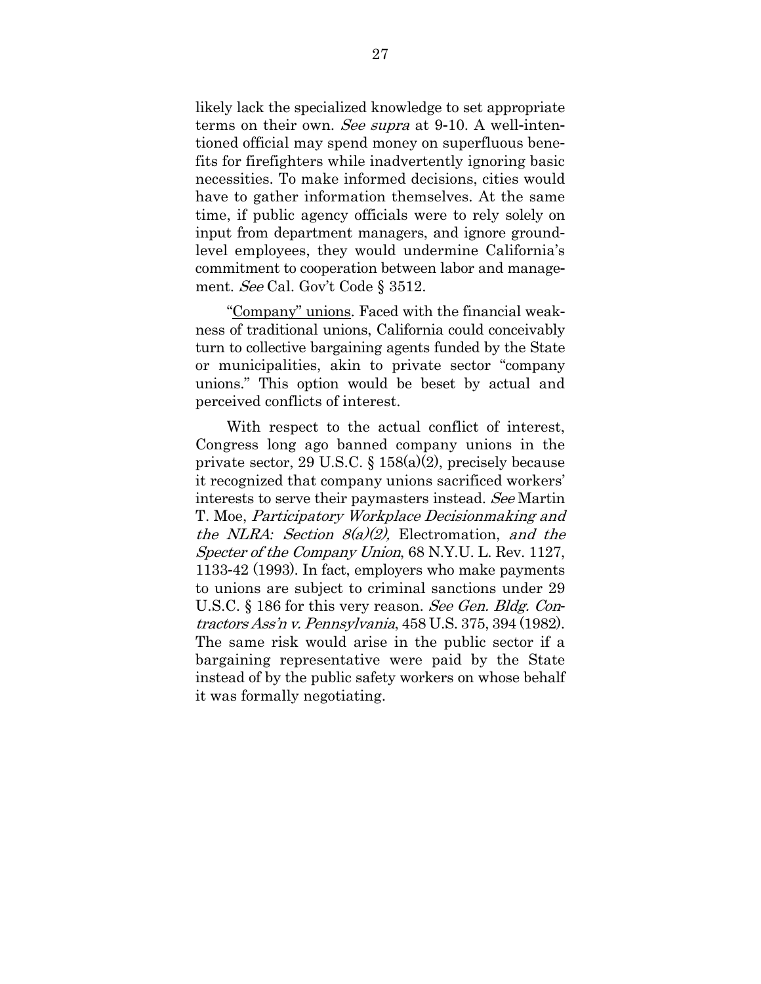likely lack the specialized knowledge to set appropriate terms on their own. See supra at 9-10. A well-intentioned official may spend money on superfluous benefits for firefighters while inadvertently ignoring basic necessities. To make informed decisions, cities would have to gather information themselves. At the same time, if public agency officials were to rely solely on input from department managers, and ignore groundlevel employees, they would undermine California's commitment to cooperation between labor and management. See Cal. Gov't Code § 3512.

"Company" unions. Faced with the financial weakness of traditional unions, California could conceivably turn to collective bargaining agents funded by the State or municipalities, akin to private sector "company unions." This option would be beset by actual and perceived conflicts of interest.

With respect to the actual conflict of interest, Congress long ago banned company unions in the private sector, 29 U.S.C. § 158(a)(2), precisely because it recognized that company unions sacrificed workers' interests to serve their paymasters instead. See Martin T. Moe, Participatory Workplace Decisionmaking and the NLRA*:* Section 8(a)(2), Electromation, and the Specter of the Company Union, 68 N.Y.U. L. Rev. 1127, 1133-42 (1993). In fact, employers who make payments to unions are subject to criminal sanctions under 29 U.S.C. § 186 for this very reason. See Gen. Bldg. Contractors Ass'n v. Pennsylvania, 458 U.S. 375, 394 (1982). The same risk would arise in the public sector if a bargaining representative were paid by the State instead of by the public safety workers on whose behalf it was formally negotiating.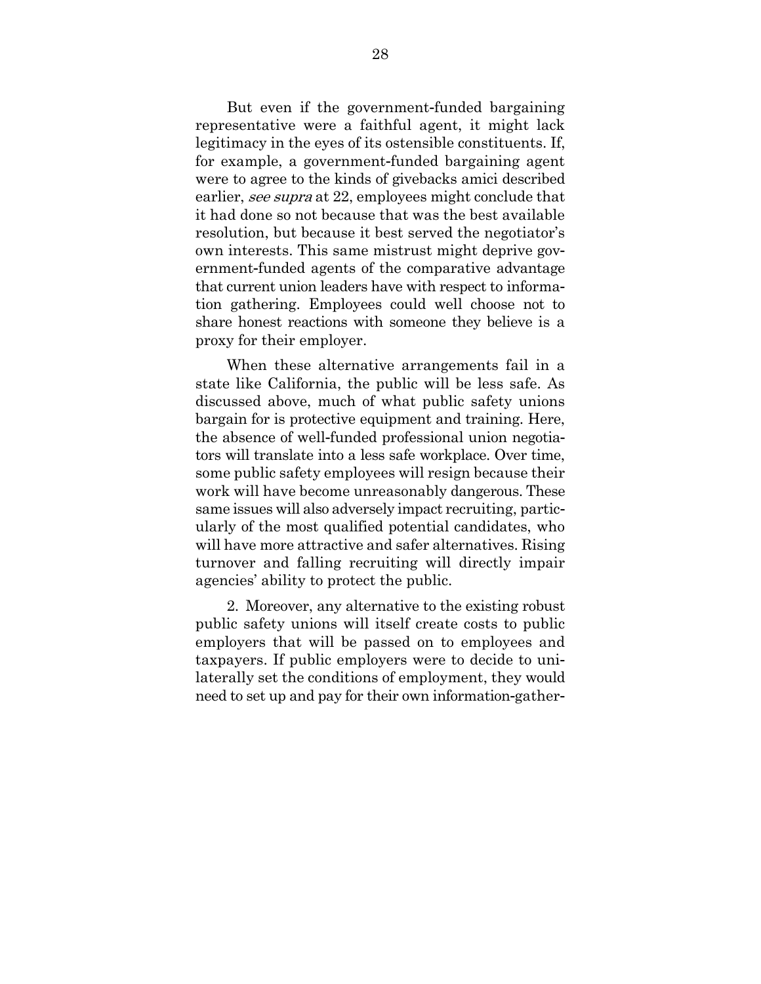But even if the government-funded bargaining representative were a faithful agent, it might lack legitimacy in the eyes of its ostensible constituents. If, for example, a government-funded bargaining agent were to agree to the kinds of givebacks amici described earlier, see supra at 22, employees might conclude that it had done so not because that was the best available resolution, but because it best served the negotiator's own interests. This same mistrust might deprive government-funded agents of the comparative advantage that current union leaders have with respect to information gathering. Employees could well choose not to share honest reactions with someone they believe is a proxy for their employer.

When these alternative arrangements fail in a state like California, the public will be less safe. As discussed above, much of what public safety unions bargain for is protective equipment and training. Here, the absence of well-funded professional union negotiators will translate into a less safe workplace. Over time, some public safety employees will resign because their work will have become unreasonably dangerous. These same issues will also adversely impact recruiting, particularly of the most qualified potential candidates, who will have more attractive and safer alternatives. Rising turnover and falling recruiting will directly impair agencies' ability to protect the public.

2. Moreover, any alternative to the existing robust public safety unions will itself create costs to public employers that will be passed on to employees and taxpayers. If public employers were to decide to unilaterally set the conditions of employment, they would need to set up and pay for their own information-gather-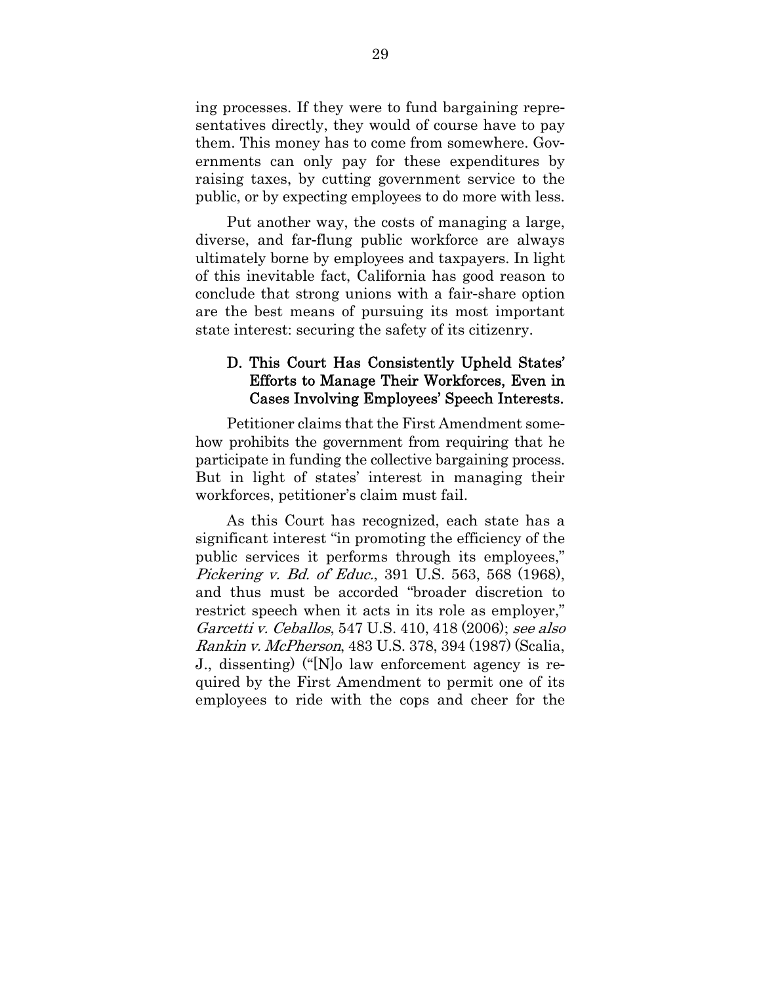ing processes. If they were to fund bargaining representatives directly, they would of course have to pay them. This money has to come from somewhere. Governments can only pay for these expenditures by raising taxes, by cutting government service to the public, or by expecting employees to do more with less.

Put another way, the costs of managing a large, diverse, and far-flung public workforce are always ultimately borne by employees and taxpayers. In light of this inevitable fact, California has good reason to conclude that strong unions with a fair-share option are the best means of pursuing its most important state interest: securing the safety of its citizenry.

### D. This Court Has Consistently Upheld States' Efforts to Manage Their Workforces, Even in Cases Involving Employees' Speech Interests.

Petitioner claims that the First Amendment somehow prohibits the government from requiring that he participate in funding the collective bargaining process. But in light of states' interest in managing their workforces, petitioner's claim must fail.

As this Court has recognized, each state has a significant interest "in promoting the efficiency of the public services it performs through its employees," Pickering v. Bd. of Educ., 391 U.S. 563, 568 (1968), and thus must be accorded "broader discretion to restrict speech when it acts in its role as employer," Garcetti v. Ceballos, 547 U.S. 410, 418 (2006); see also Rankin v. McPherson, 483 U.S. 378, 394 (1987) (Scalia, J., dissenting) ("[N]o law enforcement agency is required by the First Amendment to permit one of its employees to ride with the cops and cheer for the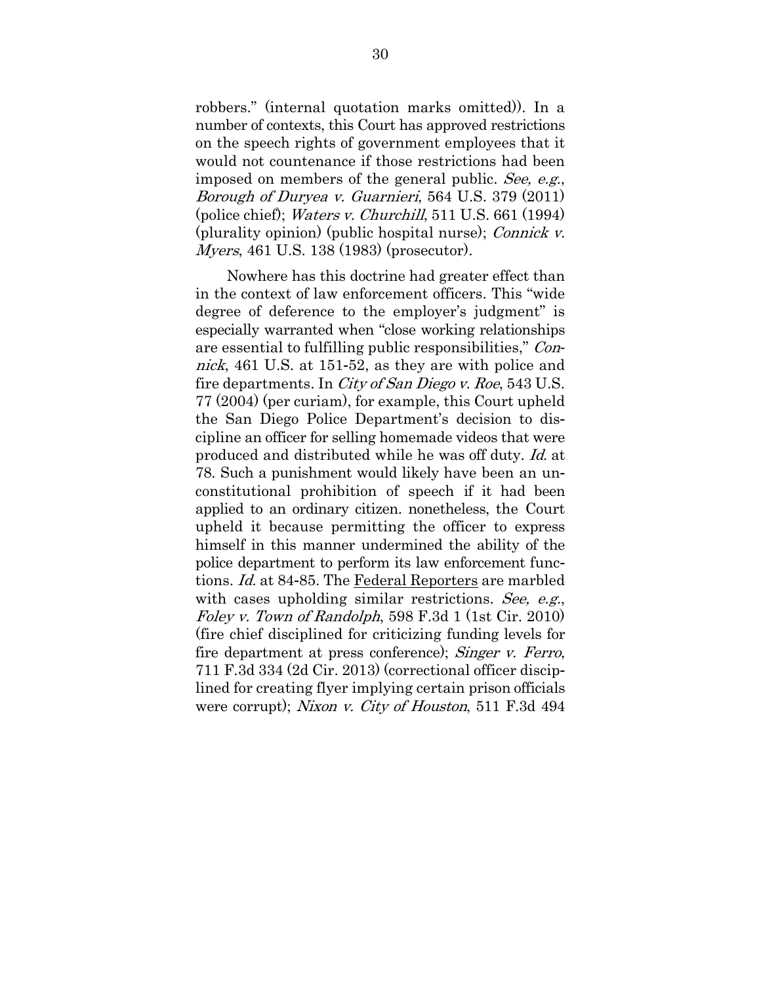robbers." (internal quotation marks omitted)). In a number of contexts, this Court has approved restrictions on the speech rights of government employees that it would not countenance if those restrictions had been imposed on members of the general public. See, e.g., Borough of Duryea v. Guarnieri, 564 U.S. 379 (2011) (police chief); Waters v. Churchill, 511 U.S. 661 (1994) (plurality opinion) (public hospital nurse); Connick v. Myers, 461 U.S. 138 (1983) (prosecutor).

Nowhere has this doctrine had greater effect than in the context of law enforcement officers. This "wide degree of deference to the employer's judgment" is especially warranted when "close working relationships are essential to fulfilling public responsibilities," Connick, 461 U.S. at 151-52, as they are with police and fire departments. In *City of San Diego v. Roe*, 543 U.S. 77 (2004) (per curiam), for example, this Court upheld the San Diego Police Department's decision to discipline an officer for selling homemade videos that were produced and distributed while he was off duty. Id. at 78. Such a punishment would likely have been an unconstitutional prohibition of speech if it had been applied to an ordinary citizen. nonetheless, the Court upheld it because permitting the officer to express himself in this manner undermined the ability of the police department to perform its law enforcement functions. Id. at 84-85. The Federal Reporters are marbled with cases upholding similar restrictions. See, e.g., Foley v. Town of Randolph, 598 F.3d 1 (1st Cir. 2010) (fire chief disciplined for criticizing funding levels for fire department at press conference); *Singer v. Ferro*, 711 F.3d 334 (2d Cir. 2013) (correctional officer disciplined for creating flyer implying certain prison officials were corrupt); Nixon v. City of Houston, 511 F.3d 494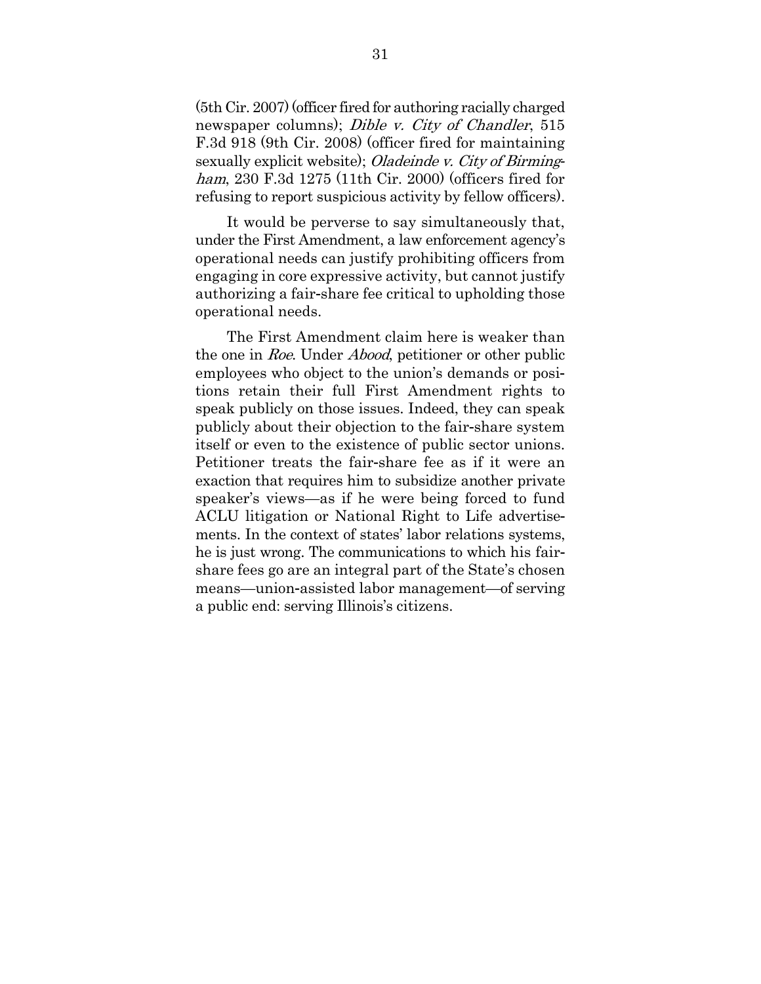(5th Cir. 2007) (officer fired for authoring racially charged newspaper columns); *Dible v. City of Chandler*, 515 F.3d 918 (9th Cir. 2008) (officer fired for maintaining sexually explicit website); Oladeinde v. City of Birmingham, 230 F.3d 1275 (11th Cir. 2000) (officers fired for refusing to report suspicious activity by fellow officers).

It would be perverse to say simultaneously that, under the First Amendment, a law enforcement agency's operational needs can justify prohibiting officers from engaging in core expressive activity, but cannot justify authorizing a fair-share fee critical to upholding those operational needs.

The First Amendment claim here is weaker than the one in Roe. Under Abood, petitioner or other public employees who object to the union's demands or positions retain their full First Amendment rights to speak publicly on those issues. Indeed, they can speak publicly about their objection to the fair-share system itself or even to the existence of public sector unions. Petitioner treats the fair-share fee as if it were an exaction that requires him to subsidize another private speaker's views—as if he were being forced to fund ACLU litigation or National Right to Life advertisements. In the context of states' labor relations systems, he is just wrong. The communications to which his fairshare fees go are an integral part of the State's chosen means—union-assisted labor management—of serving a public end: serving Illinois's citizens.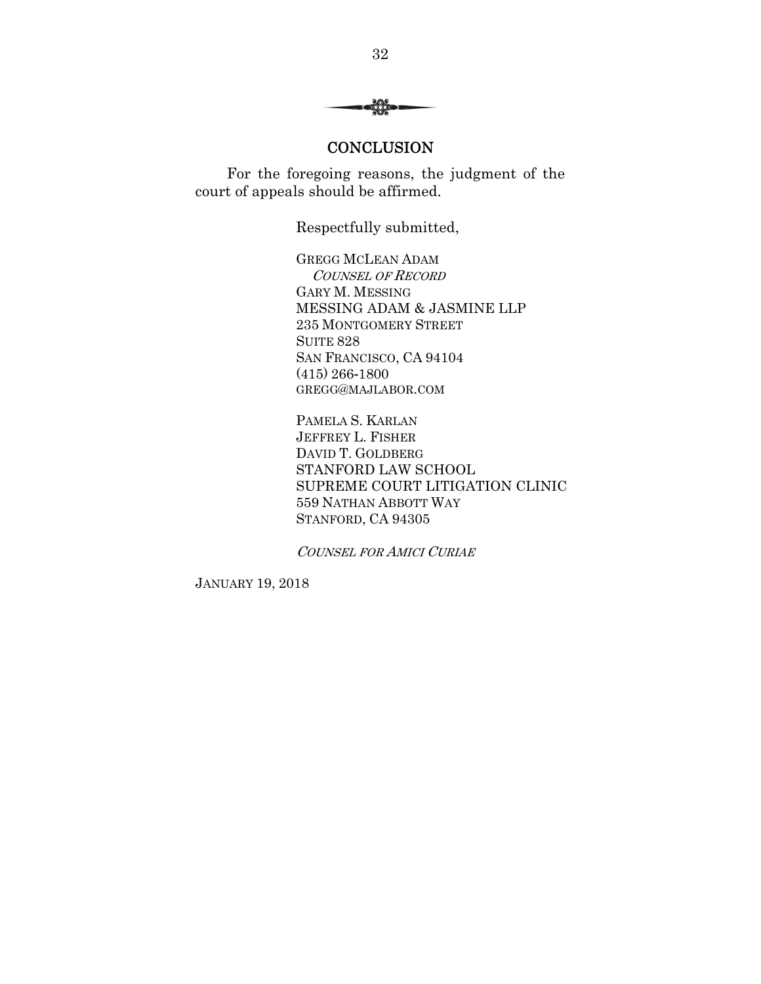$$
\longrightarrow \mathcal{O}
$$

#### **CONCLUSION**

For the foregoing reasons, the judgment of the court of appeals should be affirmed.

Respectfully submitted,

GREGG MCLEAN ADAM COUNSEL OF RECORD GARY M. MESSING MESSING ADAM & JASMINE LLP 235 MONTGOMERY STREET **SUITE 828** SAN FRANCISCO, CA 94104 (415) 266-1800 GREGG@MAJLABOR.COM

PAMELA S. KARLAN JEFFREY L. FISHER DAVID T. GOLDBERG STANFORD LAW SCHOOL SUPREME COURT LITIGATION CLINIC 559 NATHAN ABBOTT WAY STANFORD, CA 94305

COUNSEL FOR AMICI CURIAE

JANUARY 19, 2018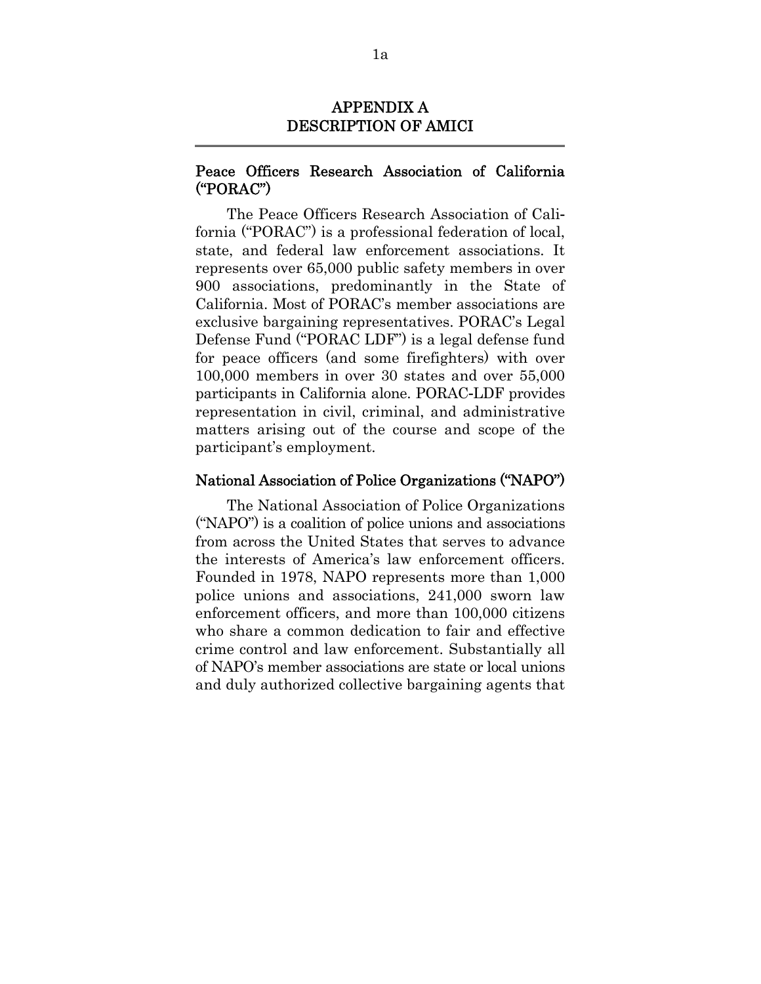# APPENDIX A DESCRIPTION OF AMICI

# Peace Officers Research Association of California ("PORAC")

The Peace Officers Research Association of California ("PORAC") is a professional federation of local, state, and federal law enforcement associations. It represents over 65,000 public safety members in over 900 associations, predominantly in the State of California. Most of PORAC's member associations are exclusive bargaining representatives. PORAC's Legal Defense Fund ("PORAC LDF") is a legal defense fund for peace officers (and some firefighters) with over 100,000 members in over 30 states and over 55,000 participants in California alone. PORAC-LDF provides representation in civil, criminal, and administrative matters arising out of the course and scope of the participant's employment.

# National Association of Police Organizations ("NAPO")

The National Association of Police Organizations ("NAPO") is a coalition of police unions and associations from across the United States that serves to advance the interests of America's law enforcement officers. Founded in 1978, NAPO represents more than 1,000 police unions and associations, 241,000 sworn law enforcement officers, and more than 100,000 citizens who share a common dedication to fair and effective crime control and law enforcement. Substantially all of NAPO's member associations are state or local unions and duly authorized collective bargaining agents that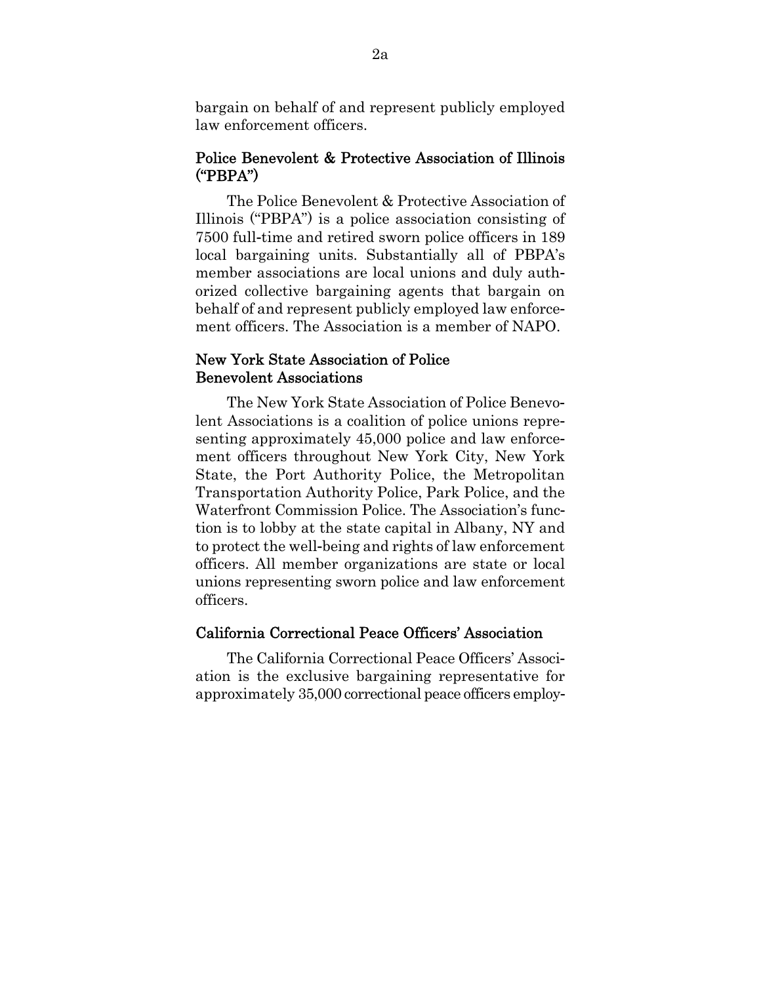bargain on behalf of and represent publicly employed law enforcement officers.

#### Police Benevolent & Protective Association of Illinois ("PBPA")

The Police Benevolent & Protective Association of Illinois ("PBPA") is a police association consisting of 7500 full-time and retired sworn police officers in 189 local bargaining units. Substantially all of PBPA's member associations are local unions and duly authorized collective bargaining agents that bargain on behalf of and represent publicly employed law enforcement officers. The Association is a member of NAPO.

### New York State Association of Police Benevolent Associations

The New York State Association of Police Benevolent Associations is a coalition of police unions representing approximately 45,000 police and law enforcement officers throughout New York City, New York State, the Port Authority Police, the Metropolitan Transportation Authority Police, Park Police, and the Waterfront Commission Police. The Association's function is to lobby at the state capital in Albany, NY and to protect the well-being and rights of law enforcement officers. All member organizations are state or local unions representing sworn police and law enforcement officers.

#### California Correctional Peace Officers' Association

The California Correctional Peace Officers' Association is the exclusive bargaining representative for approximately 35,000 correctional peace officers employ-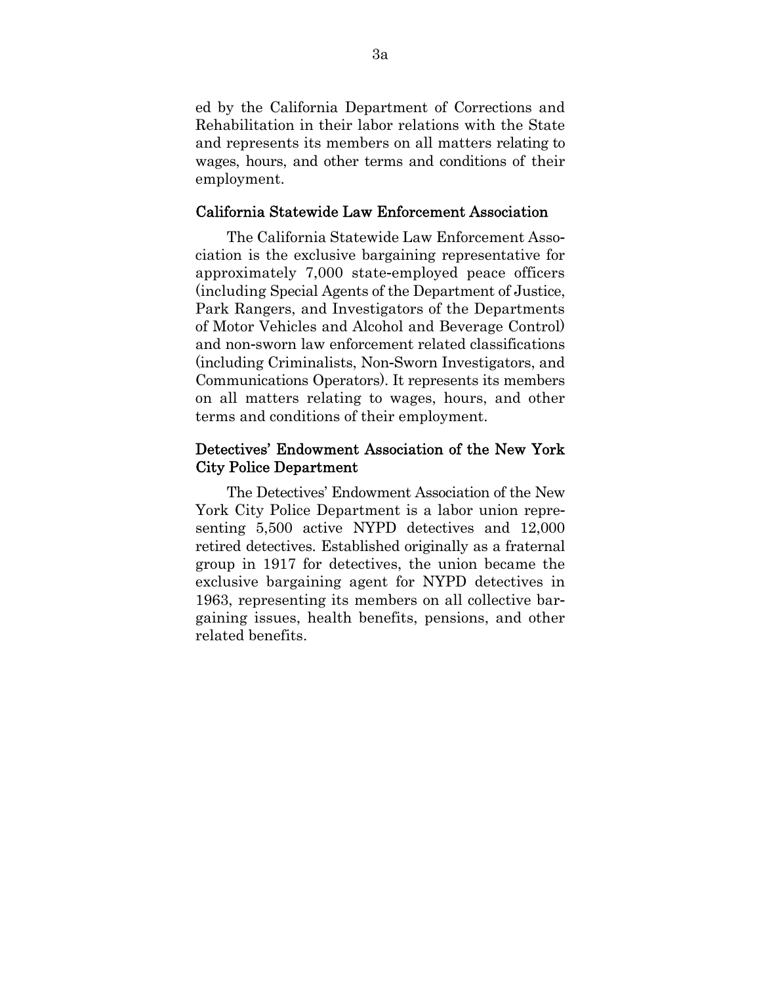ed by the California Department of Corrections and Rehabilitation in their labor relations with the State and represents its members on all matters relating to wages, hours, and other terms and conditions of their employment.

# California Statewide Law Enforcement Association

The California Statewide Law Enforcement Association is the exclusive bargaining representative for approximately 7,000 state-employed peace officers (including Special Agents of the Department of Justice, Park Rangers, and Investigators of the Departments of Motor Vehicles and Alcohol and Beverage Control) and non-sworn law enforcement related classifications (including Criminalists, Non-Sworn Investigators, and Communications Operators). It represents its members on all matters relating to wages, hours, and other terms and conditions of their employment.

# Detectives' Endowment Association of the New York City Police Department

The Detectives' Endowment Association of the New York City Police Department is a labor union representing 5,500 active NYPD detectives and 12,000 retired detectives. Established originally as a fraternal group in 1917 for detectives, the union became the exclusive bargaining agent for NYPD detectives in 1963, representing its members on all collective bargaining issues, health benefits, pensions, and other related benefits.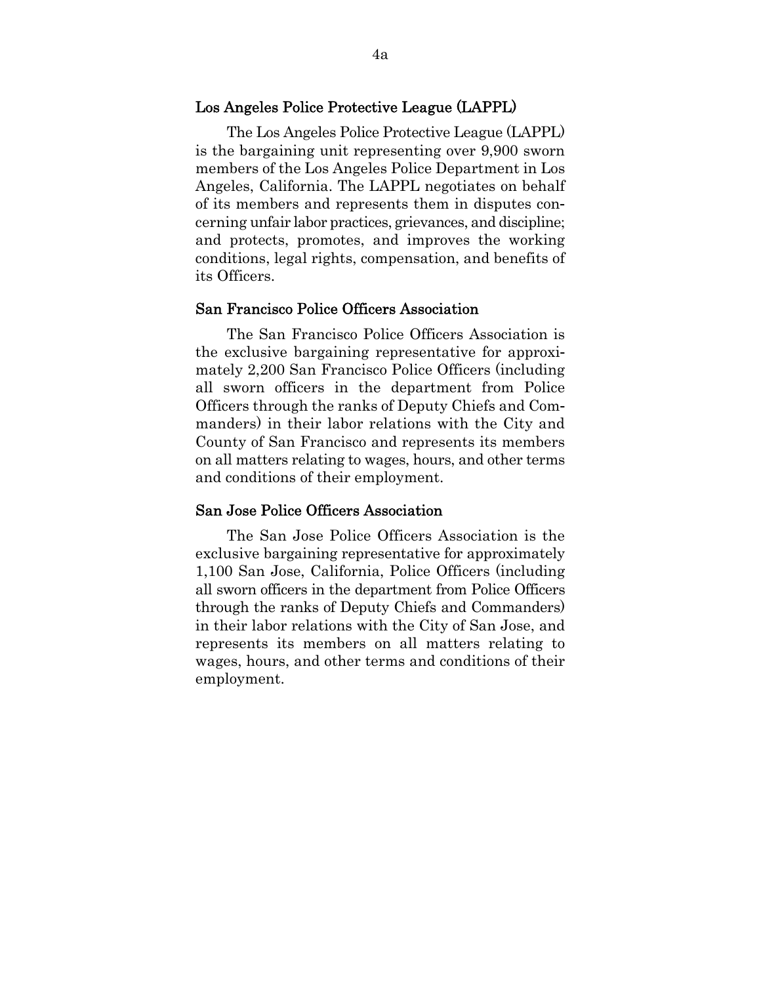### Los Angeles Police Protective League (LAPPL)

The Los Angeles Police Protective League (LAPPL) is the bargaining unit representing over 9,900 sworn members of the Los Angeles Police Department in Los Angeles, California. The LAPPL negotiates on behalf of its members and represents them in disputes concerning unfair labor practices, grievances, and discipline; and protects, promotes, and improves the working conditions, legal rights, compensation, and benefits of its Officers.

### San Francisco Police Officers Association

The San Francisco Police Officers Association is the exclusive bargaining representative for approximately 2,200 San Francisco Police Officers (including all sworn officers in the department from Police Officers through the ranks of Deputy Chiefs and Commanders) in their labor relations with the City and County of San Francisco and represents its members on all matters relating to wages, hours, and other terms and conditions of their employment.

#### San Jose Police Officers Association

The San Jose Police Officers Association is the exclusive bargaining representative for approximately 1,100 San Jose, California, Police Officers (including all sworn officers in the department from Police Officers through the ranks of Deputy Chiefs and Commanders) in their labor relations with the City of San Jose, and represents its members on all matters relating to wages, hours, and other terms and conditions of their employment.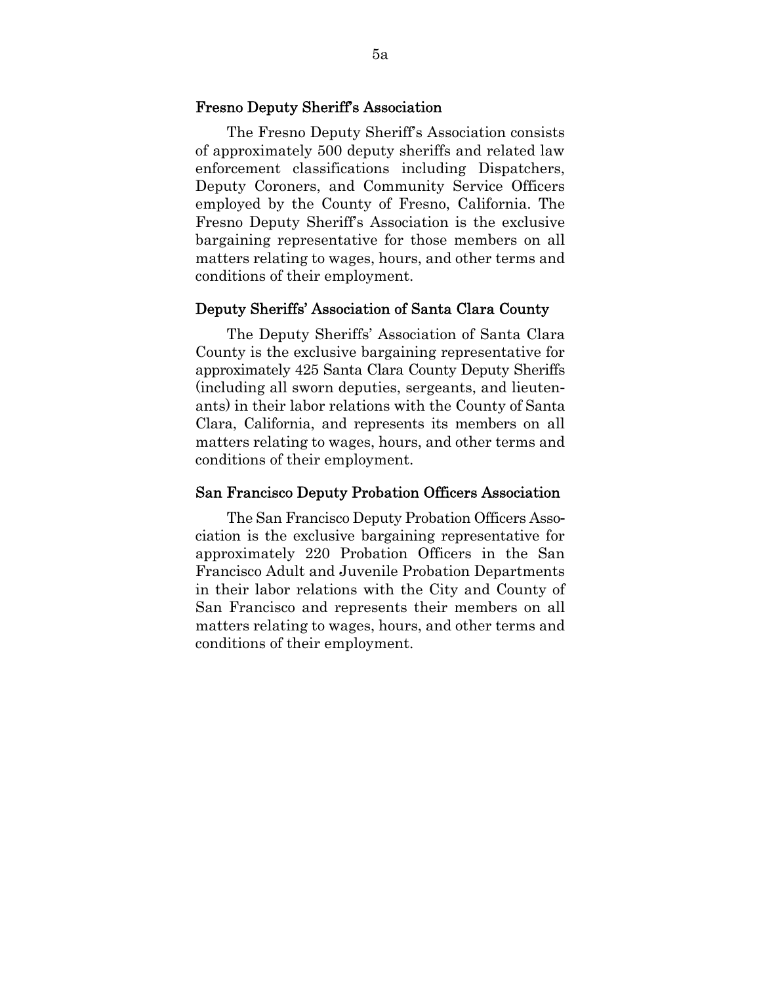#### Fresno Deputy Sheriff's Association

The Fresno Deputy Sheriff's Association consists of approximately 500 deputy sheriffs and related law enforcement classifications including Dispatchers, Deputy Coroners, and Community Service Officers employed by the County of Fresno, California. The Fresno Deputy Sheriff's Association is the exclusive bargaining representative for those members on all matters relating to wages, hours, and other terms and conditions of their employment.

### Deputy Sheriffs' Association of Santa Clara County

The Deputy Sheriffs' Association of Santa Clara County is the exclusive bargaining representative for approximately 425 Santa Clara County Deputy Sheriffs (including all sworn deputies, sergeants, and lieutenants) in their labor relations with the County of Santa Clara, California, and represents its members on all matters relating to wages, hours, and other terms and conditions of their employment.

#### San Francisco Deputy Probation Officers Association

The San Francisco Deputy Probation Officers Association is the exclusive bargaining representative for approximately 220 Probation Officers in the San Francisco Adult and Juvenile Probation Departments in their labor relations with the City and County of San Francisco and represents their members on all matters relating to wages, hours, and other terms and conditions of their employment.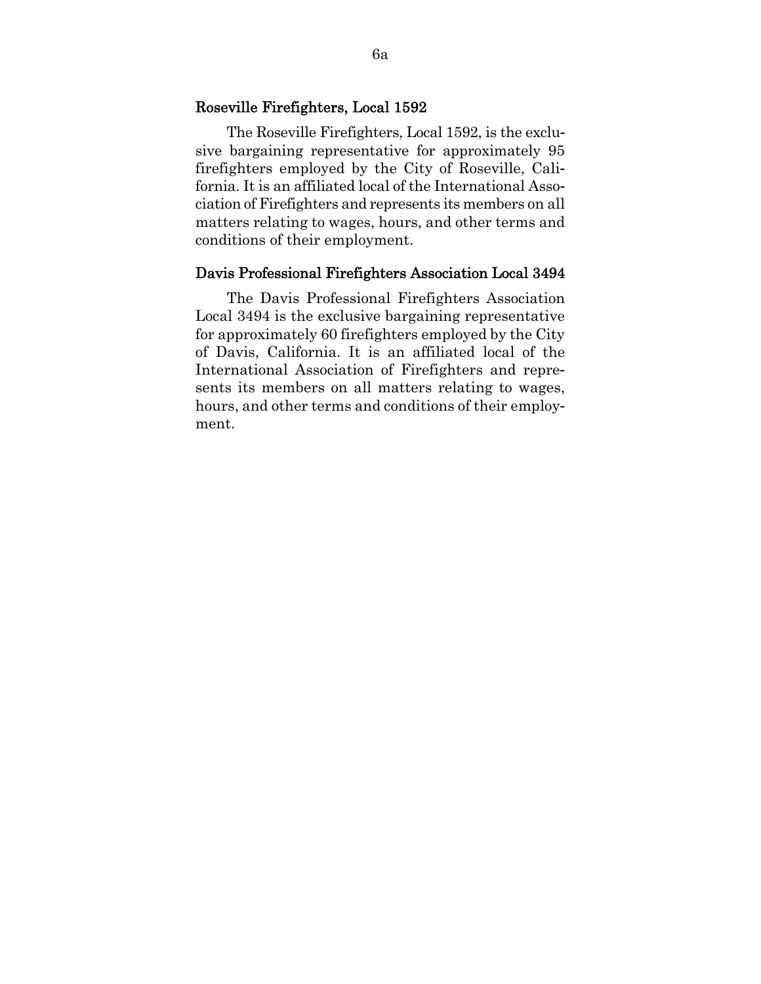### Roseville Firefighters, Local 1592

The Roseville Firefighters, Local 1592, is the exclusive bargaining representative for approximately 95 firefighters employed by the City of Roseville, California. It is an affiliated local of the International Association of Firefighters and represents its members on all matters relating to wages, hours, and other terms and conditions of their employment.

# Davis Professional Firefighters Association Local 3494

The Davis Professional Firefighters Association Local 3494 is the exclusive bargaining representative for approximately 60 firefighters employed by the City of Davis, California. It is an affiliated local of the International Association of Firefighters and represents its members on all matters relating to wages, hours, and other terms and conditions of their employment.